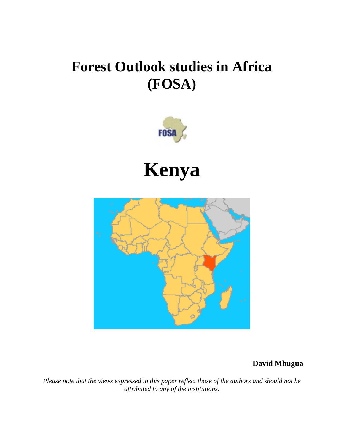# **Forest Outlook studies in Africa (FOSA)**







**David Mbugua**

*Please note that the views expressed in this paper reflect those of the authors and should not be attributed to any of the institutions.*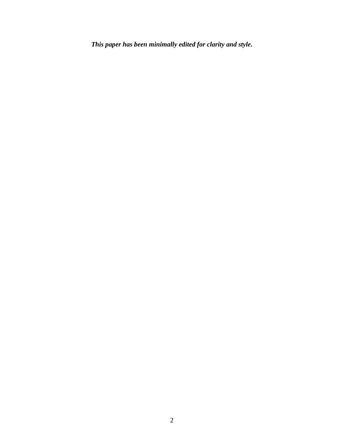*This paper has been minimally edited for clarity and style.*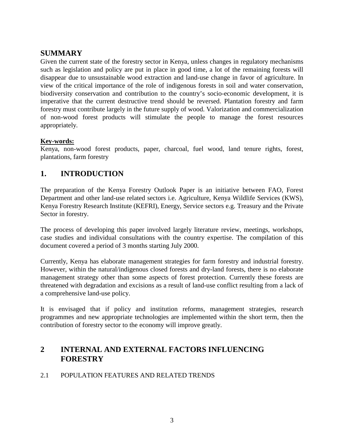# **SUMMARY**

Given the current state of the forestry sector in Kenya, unless changes in regulatory mechanisms such as legislation and policy are put in place in good time, a lot of the remaining forests will disappear due to unsustainable wood extraction and land-use change in favor of agriculture. In view of the critical importance of the role of indigenous forests in soil and water conservation, biodiversity conservation and contribution to the country's socio-economic development, it is imperative that the current destructive trend should be reversed. Plantation forestry and farm forestry must contribute largely in the future supply of wood. Valorization and commercialization of non-wood forest products will stimulate the people to manage the forest resources appropriately.

# **Key-words:**

Kenya, non-wood forest products, paper, charcoal, fuel wood, land tenure rights, forest, plantations, farm forestry

# **1. INTRODUCTION**

The preparation of the Kenya Forestry Outlook Paper is an initiative between FAO, Forest Department and other land-use related sectors i.e. Agriculture, Kenya Wildlife Services (KWS), Kenya Forestry Research Institute (KEFRI), Energy, Service sectors e.g. Treasury and the Private Sector in forestry.

The process of developing this paper involved largely literature review, meetings, workshops, case studies and individual consultations with the country expertise. The compilation of this document covered a period of 3 months starting July 2000.

Currently, Kenya has elaborate management strategies for farm forestry and industrial forestry. However, within the natural/indigenous closed forests and dry-land forests, there is no elaborate management strategy other than some aspects of forest protection. Currently these forests are threatened with degradation and excisions as a result of land-use conflict resulting from a lack of a comprehensive land-use policy.

It is envisaged that if policy and institution reforms, management strategies, research programmes and new appropriate technologies are implemented within the short term, then the contribution of forestry sector to the economy will improve greatly.

# **2 INTERNAL AND EXTERNAL FACTORS INFLUENCING FORESTRY**

# 2.1 POPULATION FEATURES AND RELATED TRENDS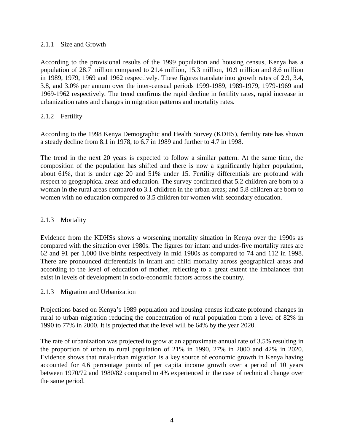#### 2.1.1 Size and Growth

According to the provisional results of the 1999 population and housing census, Kenya has a population of 28.7 million compared to 21.4 million, 15.3 million, 10.9 million and 8.6 million in 1989, 1979, 1969 and 1962 respectively. These figures translate into growth rates of 2.9, 3.4, 3.8, and 3.0% per annum over the inter-censual periods 1999-1989, 1989-1979, 1979-1969 and 1969-1962 respectively. The trend confirms the rapid decline in fertility rates, rapid increase in urbanization rates and changes in migration patterns and mortality rates.

# 2.1.2 Fertility

According to the 1998 Kenya Demographic and Health Survey (KDHS), fertility rate has shown a steady decline from 8.1 in 1978, to 6.7 in 1989 and further to 4.7 in 1998.

The trend in the next 20 years is expected to follow a similar pattern. At the same time, the composition of the population has shifted and there is now a significantly higher population, about 61%, that is under age 20 and 51% under 15. Fertility differentials are profound with respect to geographical areas and education. The survey confirmed that 5.2 children are born to a woman in the rural areas compared to 3.1 children in the urban areas; and 5.8 children are born to women with no education compared to 3.5 children for women with secondary education.

# 2.1.3 Mortality

Evidence from the KDHSs shows a worsening mortality situation in Kenya over the 1990s as compared with the situation over 1980s. The figures for infant and under-five mortality rates are 62 and 91 per 1,000 live births respectively in mid 1980s as compared to 74 and 112 in 1998. There are pronounced differentials in infant and child mortality across geographical areas and according to the level of education of mother, reflecting to a great extent the imbalances that exist in levels of development in socio-economic factors across the country.

2.1.3 Migration and Urbanization

Projections based on Kenya's 1989 population and housing census indicate profound changes in rural to urban migration reducing the concentration of rural population from a level of 82% in 1990 to 77% in 2000. It is projected that the level will be 64% by the year 2020.

The rate of urbanization was projected to grow at an approximate annual rate of 3.5% resulting in the proportion of urban to rural population of 21% in 1990, 27% in 2000 and 42% in 2020. Evidence shows that rural-urban migration is a key source of economic growth in Kenya having accounted for 4.6 percentage points of per capita income growth over a period of 10 years between 1970/72 and 1980/82 compared to 4% experienced in the case of technical change over the same period.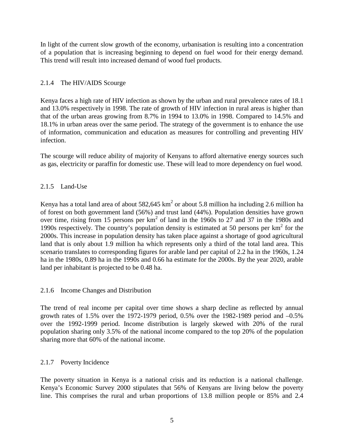In light of the current slow growth of the economy, urbanisation is resulting into a concentration of a population that is increasing beginning to depend on fuel wood for their energy demand. This trend will result into increased demand of wood fuel products.

# 2.1.4 The HIV/AIDS Scourge

Kenya faces a high rate of HIV infection as shown by the urban and rural prevalence rates of 18.1 and 13.0% respectively in 1998. The rate of growth of HIV infection in rural areas is higher than that of the urban areas growing from 8.7% in 1994 to 13.0% in 1998. Compared to 14.5% and 18.1% in urban areas over the same period. The strategy of the government is to enhance the use of information, communication and education as measures for controlling and preventing HIV infection.

The scourge will reduce ability of majority of Kenyans to afford alternative energy sources such as gas, electricity or paraffin for domestic use. These will lead to more dependency on fuel wood.

# 2.1.5 Land-Use

Kenya has a total land area of about 582,645 km<sup>2</sup> or about 5.8 million ha including 2.6 million ha of forest on both government land (56%) and trust land (44%). Population densities have grown over time, rising from 15 persons per  $km^2$  of land in the 1960s to 27 and 37 in the 1980s and 1990s respectively. The country's population density is estimated at 50 persons per km<sup>2</sup> for the 2000s. This increase in population density has taken place against a shortage of good agricultural land that is only about 1.9 million ha which represents only a third of the total land area. This scenario translates to corresponding figures for arable land per capital of 2.2 ha in the 1960s, 1.24 ha in the 1980s, 0.89 ha in the 1990s and 0.66 ha estimate for the 2000s. By the year 2020, arable land per inhabitant is projected to be 0.48 ha.

# 2.1.6 Income Changes and Distribution

The trend of real income per capital over time shows a sharp decline as reflected by annual growth rates of 1.5% over the 1972-1979 period, 0.5% over the 1982-1989 period and  $-0.5%$ over the 1992-1999 period. Income distribution is largely skewed with 20% of the rural population sharing only 3.5% of the national income compared to the top 20% of the population sharing more that 60% of the national income.

# 2.1.7 Poverty Incidence

The poverty situation in Kenya is a national crisis and its reduction is a national challenge. Kenya's Economic Survey 2000 stipulates that 56% of Kenyans are living below the poverty line. This comprises the rural and urban proportions of 13.8 million people or 85% and 2.4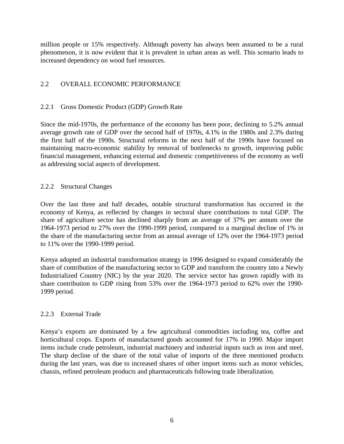million people or 15% respectively. Although poverty has always been assumed to be a rural phenomenon, it is now evident that it is prevalent in urban areas as well. This scenario leads to increased dependency on wood fuel resources.

# 2.2 OVERALL ECONOMIC PERFORMANCE

# 2.2.1 Gross Domestic Product (GDP) Growth Rate

Since the mid-1970s, the performance of the economy has been poor, declining to 5.2% annual average growth rate of GDP over the second half of 1970s, 4.1% in the 1980s and 2.3% during the first half of the 1990s. Structural reforms in the next half of the 1990s have focused on maintaining macro-economic stability by removal of bottlenecks to growth, improving public financial management, enhancing external and domestic competitiveness of the economy as well as addressing social aspects of development.

# 2.2.2 Structural Changes

Over the last three and half decades, notable structural transformation has occurred in the economy of Kenya, as reflected by changes in sectoral share contributions to total GDP. The share of agriculture sector has declined sharply from an average of 37% per annum over the 1964-1973 period to 27% over the 1990-1999 period, compared to a marginal decline of 1% in the share of the manufacturing sector from an annual average of 12% over the 1964-1973 period to 11% over the 1990-1999 period.

Kenya adopted an industrial transformation strategy in 1996 designed to expand considerably the share of contribution of the manufacturing sector to GDP and transform the country into a Newly Industrialized Country (NIC) by the year 2020. The service sector has grown rapidly with its share contribution to GDP rising from 53% over the 1964-1973 period to 62% over the 1990- 1999 period.

# 2.2.3 External Trade

Kenya's exports are dominated by a few agricultural commodities including tea, coffee and horticultural crops. Exports of manufactured goods accounted for 17% in 1990. Major import items include crude petroleum, industrial machinery and industrial inputs such as iron and steel. The sharp decline of the share of the total value of imports of the three mentioned products during the last years, was due to increased shares of other import items such as motor vehicles, chassis, refined petroleum products and pharmaceuticals following trade liberalization.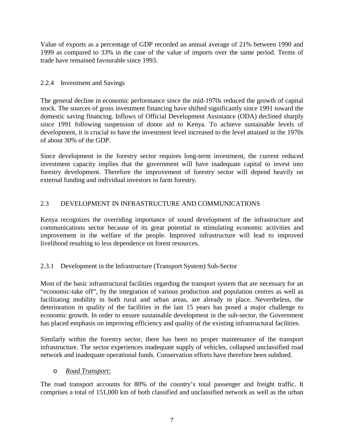Value of exports as a percentage of GDP recorded an annual average of 21% between 1990 and 1999 as compared to 33% in the case of the value of imports over the same period. Terms of trade have remained favourable since 1993.

# 2.2.4 Investment and Savings

The general decline in economic performance since the mid-1970s reduced the growth of capital stock. The sources of gross investment financing have shifted significantly since 1991 toward the domestic saving financing. Inflows of Official Development Assistance (ODA) declined sharply since 1991 following suspension of donor aid to Kenya. To achieve sustainable levels of development, it is crucial to have the investment level increased to the level attained in the 1970s of about 30% of the GDP.

Since development in the forestry sector requires long-term investment, the current reduced investment capacity implies that the government will have inadequate capital to invest into forestry development. Therefore the improvement of forestry sector will depend heavily on external funding and individual investors in farm forestry.

# 2.3 DEVELOPMENT IN INFRASTRUCTURE AND COMMUNICATIONS

Kenya recognizes the overriding importance of sound development of the infrastructure and communications sector because of its great potential in stimulating economic activities and improvement in the welfare of the people. Improved infrastructure will lead to improved livelihood resulting to less dependence on forest resources.

# 2.3.1 Development in the Infrastructure (Transport System) Sub-Sector

Most of the basic infrastructural facilities regarding the transport system that are necessary for an "economic-take off", by the integration of various production and population centres as well as facilitating mobility in both rural and urban areas, are already in place. Nevertheless, the deterioration in quality of the facilities in the last 15 years has posed a major challenge to economic growth. In order to ensure sustainable development in the sub-sector, the Government has placed emphasis on improving efficiency and quality of the existing infrastructural facilities.

Similarly within the forestry sector, there has been no proper maintenance of the transport infrastructure. The sector experiences inadequate supply of vehicles, collapsed unclassified road network and inadequate operational funds. Conservation efforts have therefore been subdued.

# o *Road Transport:*

The road transport accounts for 80% of the country's total passenger and freight traffic. It comprises a total of 151,000 km of both classified and unclassified network as well as the urban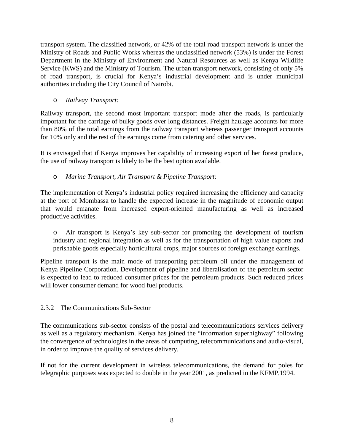transport system. The classified network, or 42% of the total road transport network is under the Ministry of Roads and Public Works whereas the unclassified network (53%) is under the Forest Department in the Ministry of Environment and Natural Resources as well as Kenya Wildlife Service (KWS) and the Ministry of Tourism. The urban transport network, consisting of only 5% of road transport, is crucial for Kenya's industrial development and is under municipal authorities including the City Council of Nairobi.

# o *Railway Transport:*

Railway transport, the second most important transport mode after the roads, is particularly important for the carriage of bulky goods over long distances. Freight haulage accounts for more than 80% of the total earnings from the railway transport whereas passenger transport accounts for 10% only and the rest of the earnings come from catering and other services.

It is envisaged that if Kenya improves her capability of increasing export of her forest produce, the use of railway transport is likely to be the best option available.

# o *Marine Transport, Air Transport & Pipeline Transport:*

The implementation of Kenya's industrial policy required increasing the efficiency and capacity at the port of Mombassa to handle the expected increase in the magnitude of economic output that would emanate from increased export-oriented manufacturing as well as increased productive activities.

o Air transport is Kenya's key sub-sector for promoting the development of tourism industry and regional integration as well as for the transportation of high value exports and perishable goods especially horticultural crops, major sources of foreign exchange earnings.

Pipeline transport is the main mode of transporting petroleum oil under the management of Kenya Pipeline Corporation. Development of pipeline and liberalisation of the petroleum sector is expected to lead to reduced consumer prices for the petroleum products. Such reduced prices will lower consumer demand for wood fuel products.

# 2.3.2 The Communications Sub-Sector

The communications sub-sector consists of the postal and telecommunications services delivery as well as a regulatory mechanism. Kenya has joined the "information superhighway" following the convergence of technologies in the areas of computing, telecommunications and audio-visual, in order to improve the quality of services delivery.

If not for the current development in wireless telecommunications, the demand for poles for telegraphic purposes was expected to double in the year 2001, as predicted in the KFMP,1994.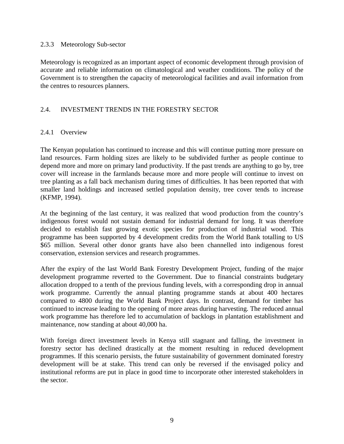#### 2.3.3 Meteorology Sub-sector

Meteorology is recognized as an important aspect of economic development through provision of accurate and reliable information on climatological and weather conditions. The policy of the Government is to strengthen the capacity of meteorological facilities and avail information from the centres to resources planners.

#### 2.4. INVESTMENT TRENDS IN THE FORESTRY SECTOR

#### 2.4.1 Overview

The Kenyan population has continued to increase and this will continue putting more pressure on land resources. Farm holding sizes are likely to be subdivided further as people continue to depend more and more on primary land productivity. If the past trends are anything to go by, tree cover will increase in the farmlands because more and more people will continue to invest on tree planting as a fall back mechanism during times of difficulties. It has been reported that with smaller land holdings and increased settled population density, tree cover tends to increase (KFMP, 1994).

At the beginning of the last century, it was realized that wood production from the country's indigenous forest would not sustain demand for industrial demand for long. It was therefore decided to establish fast growing exotic species for production of industrial wood. This programme has been supported by 4 development credits from the World Bank totalling to US \$65 million. Several other donor grants have also been channelled into indigenous forest conservation, extension services and research programmes.

After the expiry of the last World Bank Forestry Development Project, funding of the major development programme reverted to the Government. Due to financial constraints budgetary allocation dropped to a tenth of the previous funding levels, with a corresponding drop in annual work programme. Currently the annual planting programme stands at about 400 hectares compared to 4800 during the World Bank Project days. In contrast, demand for timber has continued to increase leading to the opening of more areas during harvesting. The reduced annual work programme has therefore led to accumulation of backlogs in plantation establishment and maintenance, now standing at about 40,000 ha.

With foreign direct investment levels in Kenya still stagnant and falling, the investment in forestry sector has declined drastically at the moment resulting in reduced development programmes. If this scenario persists, the future sustainability of government dominated forestry development will be at stake. This trend can only be reversed if the envisaged policy and institutional reforms are put in place in good time to incorporate other interested stakeholders in the sector.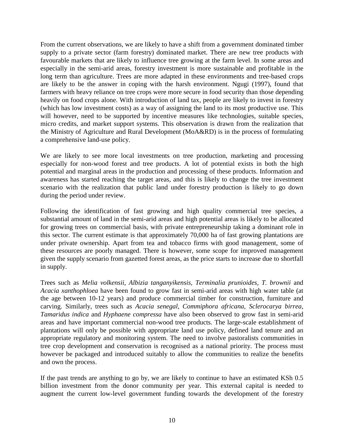From the current observations, we are likely to have a shift from a government dominated timber supply to a private sector (farm forestry) dominated market. There are new tree products with favourable markets that are likely to influence tree growing at the farm level. In some areas and especially in the semi-arid areas, forestry investment is more sustainable and profitable in the long term than agriculture. Trees are more adapted in these environments and tree-based crops are likely to be the answer in coping with the harsh environment. Ngugi (1997), found that farmers with heavy reliance on tree crops were more secure in food security than those depending heavily on food crops alone. With introduction of land tax, people are likely to invest in forestry (which has low investment costs) as a way of assigning the land to its most productive use. This will however, need to be supported by incentive measures like technologies, suitable species, micro credits, and market support systems. This observation is drawn from the realization that the Ministry of Agriculture and Rural Development (MoA&RD) is in the process of formulating a comprehensive land-use policy.

We are likely to see more local investments on tree production, marketing and processing especially for non-wood forest and tree products. A lot of potential exists in both the high potential and marginal areas in the production and processing of these products. Information and awareness has started reaching the target areas, and this is likely to change the tree investment scenario with the realization that public land under forestry production is likely to go down during the period under review.

Following the identification of fast growing and high quality commercial tree species, a substantial amount of land in the semi-arid areas and high potential areas is likely to be allocated for growing trees on commercial basis, with private entrepreneurship taking a dominant role in this sector. The current estimate is that approximately 70,000 ha of fast growing plantations are under private ownership. Apart from tea and tobacco firms with good management, some of these resources are poorly managed. There is however, some scope for improved management given the supply scenario from gazetted forest areas, as the price starts to increase due to shortfall in supply.

Trees such as *Melia volkensii, Albizia tanganyikensis, Terminalia prunioides, T. brownii* and *Acacia xanthophloea* have been found to grow fast in semi-arid areas with high water table (at the age between 10-12 years) and produce commercial timber for construction, furniture and carving. Similarly, trees such as *Acacia senegal, Commiphora africana, Sclerocarya birrea, Tamaridus indica* and *Hyphaene compressa* have also been observed to grow fast in semi-arid areas and have important commercial non-wood tree products. The large-scale establishment of plantations will only be possible with appropriate land use policy, defined land tenure and an appropriate regulatory and monitoring system. The need to involve pastoralists communities in tree crop development and conservation is recognised as a national priority. The process must however be packaged and introduced suitably to allow the communities to realize the benefits and own the process.

If the past trends are anything to go by, we are likely to continue to have an estimated KSh 0.5 billion investment from the donor community per year. This external capital is needed to augment the current low-level government funding towards the development of the forestry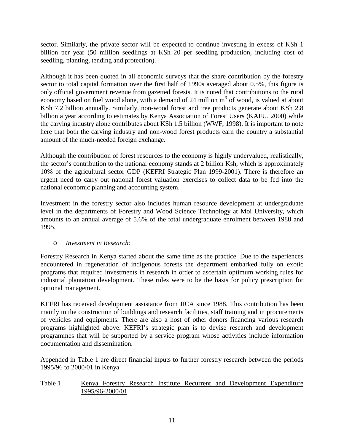sector. Similarly, the private sector will be expected to continue investing in excess of KSh 1 billion per year (50 million seedlings at KSh 20 per seedling production, including cost of seedling, planting, tending and protection).

Although it has been quoted in all economic surveys that the share contribution by the forestry sector to total capital formation over the first half of 1990s averaged about 0.5%, this figure is only official government revenue from gazetted forests. It is noted that contributions to the rural economy based on fuel wood alone, with a demand of 24 million  $m<sup>3</sup>$  of wood, is valued at about KSh 7.2 billion annually. Similarly, non-wood forest and tree products generate about KSh 2.8 billion a year according to estimates by Kenya Association of Forest Users (KAFU, 2000) while the carving industry alone contributes about KSh 1.5 billion (WWF, 1998). It is important to note here that both the carving industry and non-wood forest products earn the country a substantial amount of the much-needed foreign exchange**.**

Although the contribution of forest resources to the economy is highly undervalued, realistically, the sector's contribution to the national economy stands at 2 billion Ksh, which is approximately 10% of the agricultural sector GDP (KEFRI Strategic Plan 1999-2001). There is therefore an urgent need to carry out national forest valuation exercises to collect data to be fed into the national economic planning and accounting system.

Investment in the forestry sector also includes human resource development at undergraduate level in the departments of Forestry and Wood Science Technology at Moi University, which amounts to an annual average of 5.6% of the total undergraduate enrolment between 1988 and 1995.

# o *Investment in Research:*

Forestry Research in Kenya started about the same time as the practice. Due to the experiences encountered in regeneration of indigenous forests the department embarked fully on exotic programs that required investments in research in order to ascertain optimum working rules for industrial plantation development. These rules were to be the basis for policy prescription for optional management.

KEFRI has received development assistance from JICA since 1988. This contribution has been mainly in the construction of buildings and research facilities, staff training and in procurements of vehicles and equipments. There are also a host of other donors financing various research programs highlighted above. KEFRI's strategic plan is to devise research and development programmes that will be supported by a service program whose activities include information documentation and dissemination.

Appended in Table 1 are direct financial inputs to further forestry research between the periods 1995/96 to 2000/01 in Kenya.

# Table 1 Kenya Forestry Research Institute Recurrent and Development Expenditure 1995/96-2000/01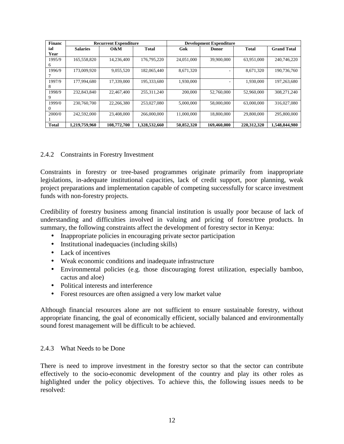| <b>Financ</b> |                 | <b>Recurrent Expenditure</b> |               |            | <b>Development Expenditure</b> |              |                    |
|---------------|-----------------|------------------------------|---------------|------------|--------------------------------|--------------|--------------------|
| ial           | <b>Salaries</b> | $\Omega \& M$                | <b>Total</b>  | Gok        | Donor                          | <b>Total</b> | <b>Grand Total</b> |
| Year          |                 |                              |               |            |                                |              |                    |
| 1995/9        | 165,558,820     | 14,236,400                   | 176,795,220   | 24,051,000 | 39,900,000                     | 63.951.000   | 240,746,220        |
| 6             |                 |                              |               |            |                                |              |                    |
| 1996/9        | 173,009,920     | 9,055,520                    | 182,065,440   | 8,671,320  |                                | 8,671,320    | 190,736,760        |
|               |                 |                              |               |            |                                |              |                    |
| 1997/9        | 177,994,680     | 17,339,000                   | 195,333,680   | 1.930.000  |                                | 1,930,000    | 197.263.680        |
| 8             |                 |                              |               |            |                                |              |                    |
| 1998/9        | 232,843,840     | 22,467,400                   | 255, 311, 240 | 200,000    | 52,760,000                     | 52,960,000   | 308.271.240        |
| 9             |                 |                              |               |            |                                |              |                    |
| 1999/0        | 230,760,700     | 22,266,380                   | 253,027,080   | 5,000,000  | 58,000,000                     | 63,000,000   | 316,027,080        |
| 0             |                 |                              |               |            |                                |              |                    |
| 2000/0        | 242,592,000     | 23,408,000                   | 266,000,000   | 11,000,000 | 18,800,000                     | 29,800,000   | 295,800,000        |
|               |                 |                              |               |            |                                |              |                    |
| <b>Total</b>  | 1.219.759.960   | 108,772,700                  | 1.328.532.660 | 50,852,320 | 169,460,000                    | 220.312.320  | 1,548,844,980      |

#### 2.4.2 Constraints in Forestry Investment

Constraints in forestry or tree-based programmes originate primarily from inappropriate legislations, in-adequate institutional capacities, lack of credit support, poor planning, weak project preparations and implementation capable of competing successfully for scarce investment funds with non-forestry projects.

Credibility of forestry business among financial institution is usually poor because of lack of understanding and difficulties involved in valuing and pricing of forest/tree products. In summary, the following constraints affect the development of forestry sector in Kenya:

- Inappropriate policies in encouraging private sector participation
- Institutional inadequacies (including skills)
- Lack of incentives
- Weak economic conditions and inadequate infrastructure
- Environmental policies (e.g. those discouraging forest utilization, especially bamboo, cactus and aloe)
- Political interests and interference
- Forest resources are often assigned a very low market value

Although financial resources alone are not sufficient to ensure sustainable forestry, without appropriate financing, the goal of economically efficient, socially balanced and environmentally sound forest management will be difficult to be achieved.

#### 2.4.3 What Needs to be Done

There is need to improve investment in the forestry sector so that the sector can contribute effectively to the socio-economic development of the country and play its other roles as highlighted under the policy objectives. To achieve this, the following issues needs to be resolved: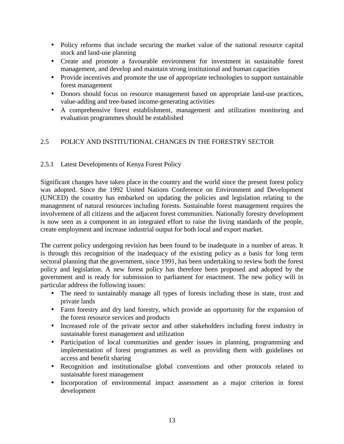- Policy reforms that include securing the market value of the national resource capital stock and land-use planning
- Create and promote a favourable environment for investment in sustainable forest management, and develop and maintain strong institutional and human capacities
- Provide incentives and promote the use of appropriate technologies to support sustainable forest management
- Donors should focus on resource management based on appropriate land-use practices, value-adding and tree-based income-generating activities
- A comprehensive forest establishment, management and utilization monitoring and evaluation programmes should be established

# 2.5 POLICY AND INSTITUTIONAL CHANGES IN THE FORESTRY SECTOR

# 2.5.1 Latest Developments of Kenya Forest Policy

Significant changes have taken place in the country and the world since the present forest policy was adopted. Since the 1992 United Nations Conference on Environment and Development (UNCED) the country has embarked on updating the policies and legislation relating to the management of natural resources including forests. Sustainable forest management requires the involvement of all citizens and the adjacent forest communities. Nationally forestry development is now seen as a component in an integrated effort to raise the living standards of the people, create employment and increase industrial output for both local and export market.

The current policy undergoing revision has been found to be inadequate in a number of areas. It is through this recognition of the inadequacy of the existing policy as a basis for long term sectoral planning that the government, since 1991, has been undertaking to review both the forest policy and legislation. A new forest policy has therefore been proposed and adopted by the government and is ready for submission to parliament for enactment. The new policy will in particular address the following issues:

- The need to sustainably manage all types of forests including those in state, trust and private lands
- Farm forestry and dry land forestry, which provide an opportunity for the expansion of the forest resource services and products
- Increased role of the private sector and other stakeholders including forest industry in sustainable forest management and utilization
- Participation of local communities and gender issues in planning, programming and implementation of forest programmes as well as providing them with guidelines on access and benefit sharing
- Recognition and institutionalise global conventions and other protocols related to sustainable forest management
- Incorporation of environmental impact assessment as a major criterion in forest development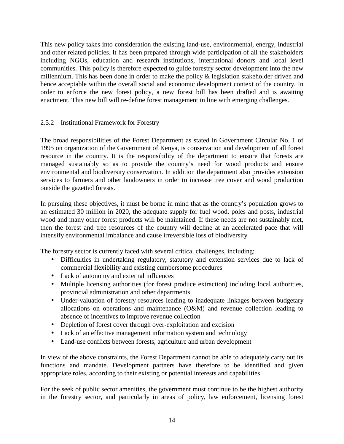This new policy takes into consideration the existing land-use, environmental, energy, industrial and other related policies. It has been prepared through wide participation of all the stakeholders including NGOs, education and research institutions, international donors and local level communities. This policy is therefore expected to guide forestry sector development into the new millennium. This has been done in order to make the policy & legislation stakeholder driven and hence acceptable within the overall social and economic development context of the country. In order to enforce the new forest policy, a new forest bill has been drafted and is awaiting enactment. This new bill will re-define forest management in line with emerging challenges.

# 2.5.2 Institutional Framework for Forestry

The broad responsibilities of the Forest Department as stated in Government Circular No. 1 of 1995 on organization of the Government of Kenya, is conservation and development of all forest resource in the country. It is the responsibility of the department to ensure that forests are managed sustainably so as to provide the country's need for wood products and ensure environmental and biodiversity conservation. In addition the department also provides extension services to farmers and other landowners in order to increase tree cover and wood production outside the gazetted forests.

In pursuing these objectives, it must be borne in mind that as the country's population grows to an estimated 30 million in 2020, the adequate supply for fuel wood, poles and posts, industrial wood and many other forest products will be maintained. If these needs are not sustainably met, then the forest and tree resources of the country will decline at an accelerated pace that will intensify environmental imbalance and cause irreversible loss of biodiversity.

The forestry sector is currently faced with several critical challenges, including:

- Difficulties in undertaking regulatory, statutory and extension services due to lack of commercial flexibility and existing cumbersome procedures
- Lack of autonomy and external influences
- Multiple licensing authorities (for forest produce extraction) including local authorities, provincial administration and other departments
- Under-valuation of forestry resources leading to inadequate linkages between budgetary allocations on operations and maintenance (O&M) and revenue collection leading to absence of incentives to improve revenue collection
- Depletion of forest cover through over-exploitation and excision
- Lack of an effective management information system and technology
- Land-use conflicts between forests, agriculture and urban development

In view of the above constraints, the Forest Department cannot be able to adequately carry out its functions and mandate. Development partners have therefore to be identified and given appropriate roles, according to their existing or potential interests and capabilities.

For the seek of public sector amenities, the government must continue to be the highest authority in the forestry sector, and particularly in areas of policy, law enforcement, licensing forest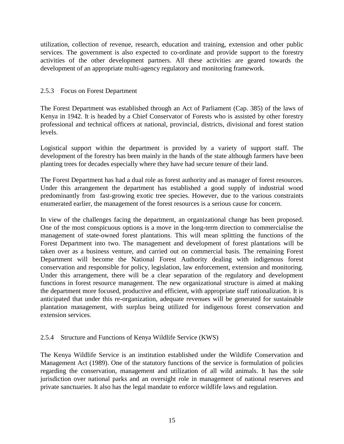utilization, collection of revenue, research, education and training, extension and other public services. The government is also expected to co-ordinate and provide support to the forestry activities of the other development partners. All these activities are geared towards the development of an appropriate multi-agency regulatory and monitoring framework.

#### 2.5.3 Focus on Forest Department

The Forest Department was established through an Act of Parliament (Cap. 385) of the laws of Kenya in 1942. It is headed by a Chief Conservator of Forests who is assisted by other forestry professional and technical officers at national, provincial, districts, divisional and forest station levels.

Logistical support within the department is provided by a variety of support staff. The development of the forestry has been mainly in the hands of the state although farmers have been planting trees for decades especially where they have had secure tenure of their land.

The Forest Department has had a dual role as forest authority and as manager of forest resources. Under this arrangement the department has established a good supply of industrial wood predominantly from fast-growing exotic tree species. However, due to the various constraints enumerated earlier, the management of the forest resources is a serious cause for concern.

In view of the challenges facing the department, an organizational change has been proposed. One of the most conspicuous options is a move in the long-term direction to commercialise the management of state-owned forest plantations. This will mean splitting the functions of the Forest Department into two. The management and development of forest plantations will be taken over as a business venture, and carried out on commercial basis. The remaining Forest Department will become the National Forest Authority dealing with indigenous forest conservation and responsible for policy, legislation, law enforcement, extension and monitoring. Under this arrangement, there will be a clear separation of the regulatory and development functions in forest resource management. The new organizational structure is aimed at making the department more focused, productive and efficient, with appropriate staff rationalization. It is anticipated that under this re-organization, adequate revenues will be generated for sustainable plantation management, with surplus being utilized for indigenous forest conservation and extension services.

# 2.5.4 Structure and Functions of Kenya Wildlife Service (KWS)

The Kenya Wildlife Service is an institution established under the Wildlife Conservation and Management Act (1989). One of the statutory functions of the service is formulation of policies regarding the conservation, management and utilization of all wild animals. It has the sole jurisdiction over national parks and an oversight role in management of national reserves and private sanctuaries. It also has the legal mandate to enforce wildlife laws and regulation.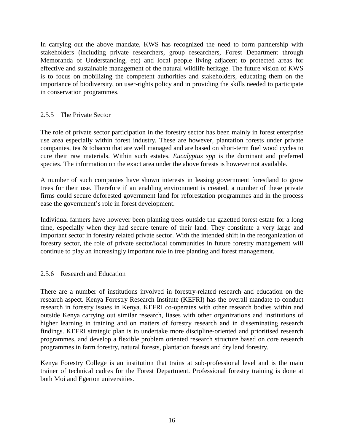In carrying out the above mandate, KWS has recognized the need to form partnership with stakeholders (including private researchers, group researchers, Forest Department through Memoranda of Understanding, etc) and local people living adjacent to protected areas for effective and sustainable management of the natural wildlife heritage. The future vision of KWS is to focus on mobilizing the competent authorities and stakeholders, educating them on the importance of biodiversity, on user-rights policy and in providing the skills needed to participate in conservation programmes.

# 2.5.5 The Private Sector

The role of private sector participation in the forestry sector has been mainly in forest enterprise use area especially within forest industry. These are however, plantation forests under private companies, tea & tobacco that are well managed and are based on short-term fuel wood cycles to cure their raw materials. Within such estates, *Eucalyptus spp* is the dominant and preferred species. The information on the exact area under the above forests is however not available.

A number of such companies have shown interests in leasing government forestland to grow trees for their use. Therefore if an enabling environment is created, a number of these private firms could secure deforested government land for reforestation programmes and in the process ease the government's role in forest development.

Individual farmers have however been planting trees outside the gazetted forest estate for a long time, especially when they had secure tenure of their land. They constitute a very large and important sector in forestry related private sector. With the intended shift in the reorganization of forestry sector, the role of private sector/local communities in future forestry management will continue to play an increasingly important role in tree planting and forest management.

# 2.5.6 Research and Education

There are a number of institutions involved in forestry-related research and education on the research aspect. Kenya Forestry Research Institute (KEFRI) has the overall mandate to conduct research in forestry issues in Kenya. KEFRI co-operates with other research bodies within and outside Kenya carrying out similar research, liases with other organizations and institutions of higher learning in training and on matters of forestry research and in disseminating research findings. KEFRI strategic plan is to undertake more discipline-oriented and prioritised research programmes, and develop a flexible problem oriented research structure based on core research programmes in farm forestry, natural forests, plantation forests and dry land forestry.

Kenya Forestry College is an institution that trains at sub-professional level and is the main trainer of technical cadres for the Forest Department. Professional forestry training is done at both Moi and Egerton universities.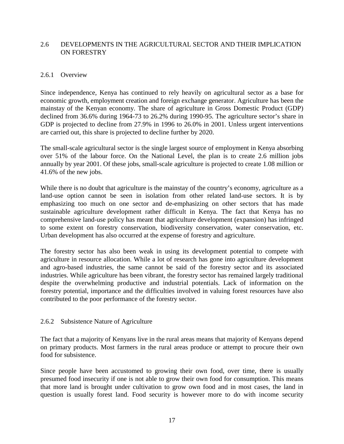# 2.6 DEVELOPMENTS IN THE AGRICULTURAL SECTOR AND THEIR IMPLICATION ON FORESTRY

#### 2.6.1 Overview

Since independence, Kenya has continued to rely heavily on agricultural sector as a base for economic growth, employment creation and foreign exchange generator. Agriculture has been the mainstay of the Kenyan economy. The share of agriculture in Gross Domestic Product (GDP) declined from 36.6% during 1964-73 to 26.2% during 1990-95. The agriculture sector's share in GDP is projected to decline from 27.9% in 1996 to 26.0% in 2001. Unless urgent interventions are carried out, this share is projected to decline further by 2020.

The small-scale agricultural sector is the single largest source of employment in Kenya absorbing over 51% of the labour force. On the National Level, the plan is to create 2.6 million jobs annually by year 2001. Of these jobs, small-scale agriculture is projected to create 1.08 million or 41.6% of the new jobs.

While there is no doubt that agriculture is the mainstay of the country's economy, agriculture as a land-use option cannot be seen in isolation from other related land-use sectors. It is by emphasizing too much on one sector and de-emphasizing on other sectors that has made sustainable agriculture development rather difficult in Kenya. The fact that Kenya has no comprehensive land-use policy has meant that agriculture development (expansion) has infringed to some extent on forestry conservation, biodiversity conservation, water conservation, etc. Urban development has also occurred at the expense of forestry and agriculture.

The forestry sector has also been weak in using its development potential to compete with agriculture in resource allocation. While a lot of research has gone into agriculture development and agro-based industries, the same cannot be said of the forestry sector and its associated industries. While agriculture has been vibrant, the forestry sector has remained largely traditional despite the overwhelming productive and industrial potentials. Lack of information on the forestry potential, importance and the difficulties involved in valuing forest resources have also contributed to the poor performance of the forestry sector.

#### 2.6.2 Subsistence Nature of Agriculture

The fact that a majority of Kenyans live in the rural areas means that majority of Kenyans depend on primary products. Most farmers in the rural areas produce or attempt to procure their own food for subsistence.

Since people have been accustomed to growing their own food, over time, there is usually presumed food insecurity if one is not able to grow their own food for consumption. This means that more land is brought under cultivation to grow own food and in most cases, the land in question is usually forest land. Food security is however more to do with income security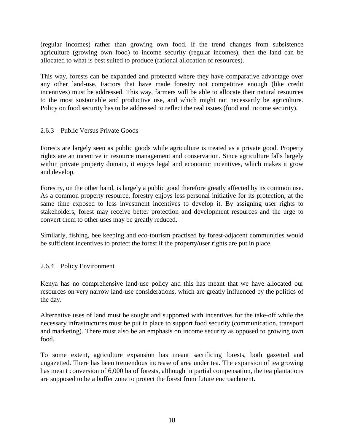(regular incomes) rather than growing own food. If the trend changes from subsistence agriculture (growing own food) to income security (regular incomes), then the land can be allocated to what is best suited to produce (rational allocation of resources).

This way, forests can be expanded and protected where they have comparative advantage over any other land-use. Factors that have made forestry not competitive enough (like credit incentives) must be addressed. This way, farmers will be able to allocate their natural resources to the most sustainable and productive use, and which might not necessarily be agriculture. Policy on food security has to be addressed to reflect the real issues (food and income security).

# 2.6.3 Public Versus Private Goods

Forests are largely seen as public goods while agriculture is treated as a private good. Property rights are an incentive in resource management and conservation. Since agriculture falls largely within private property domain, it enjoys legal and economic incentives, which makes it grow and develop.

Forestry, on the other hand, is largely a public good therefore greatly affected by its common use. As a common property resource, forestry enjoys less personal initiative for its protection, at the same time exposed to less investment incentives to develop it. By assigning user rights to stakeholders, forest may receive better protection and development resources and the urge to convert them to other uses may be greatly reduced.

Similarly, fishing, bee keeping and eco-tourism practised by forest-adjacent communities would be sufficient incentives to protect the forest if the property/user rights are put in place.

# 2.6.4 Policy Environment

Kenya has no comprehensive land-use policy and this has meant that we have allocated our resources on very narrow land-use considerations, which are greatly influenced by the politics of the day.

Alternative uses of land must be sought and supported with incentives for the take-off while the necessary infrastructures must be put in place to support food security (communication, transport and marketing). There must also be an emphasis on income security as opposed to growing own food.

To some extent, agriculture expansion has meant sacrificing forests, both gazetted and ungazetted. There has been tremendous increase of area under tea. The expansion of tea growing has meant conversion of 6,000 ha of forests, although in partial compensation, the tea plantations are supposed to be a buffer zone to protect the forest from future encroachment.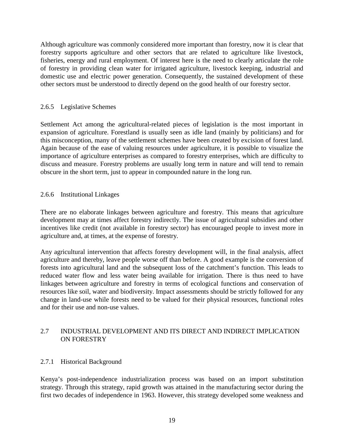Although agriculture was commonly considered more important than forestry, now it is clear that forestry supports agriculture and other sectors that are related to agriculture like livestock, fisheries, energy and rural employment. Of interest here is the need to clearly articulate the role of forestry in providing clean water for irrigated agriculture, livestock keeping, industrial and domestic use and electric power generation. Consequently, the sustained development of these other sectors must be understood to directly depend on the good health of our forestry sector.

#### 2.6.5 Legislative Schemes

Settlement Act among the agricultural-related pieces of legislation is the most important in expansion of agriculture. Forestland is usually seen as idle land (mainly by politicians) and for this misconception, many of the settlement schemes have been created by excision of forest land. Again because of the ease of valuing resources under agriculture, it is possible to visualize the importance of agriculture enterprises as compared to forestry enterprises, which are difficulty to discuss and measure. Forestry problems are usually long term in nature and will tend to remain obscure in the short term, just to appear in compounded nature in the long run.

#### 2.6.6 Institutional Linkages

There are no elaborate linkages between agriculture and forestry. This means that agriculture development may at times affect forestry indirectly. The issue of agricultural subsidies and other incentives like credit (not available in forestry sector) has encouraged people to invest more in agriculture and, at times, at the expense of forestry.

Any agricultural intervention that affects forestry development will, in the final analysis, affect agriculture and thereby, leave people worse off than before. A good example is the conversion of forests into agricultural land and the subsequent loss of the catchment's function. This leads to reduced water flow and less water being available for irrigation. There is thus need to have linkages between agriculture and forestry in terms of ecological functions and conservation of resources like soil, water and biodiversity. Impact assessments should be strictly followed for any change in land-use while forests need to be valued for their physical resources, functional roles and for their use and non-use values.

# 2.7 INDUSTRIAL DEVELOPMENT AND ITS DIRECT AND INDIRECT IMPLICATION ON FORESTRY

# 2.7.1 Historical Background

Kenya's post-independence industrialization process was based on an import substitution strategy. Through this strategy, rapid growth was attained in the manufacturing sector during the first two decades of independence in 1963. However, this strategy developed some weakness and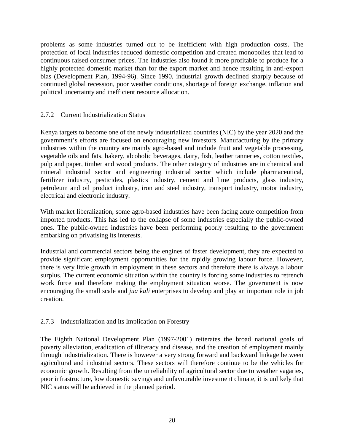problems as some industries turned out to be inefficient with high production costs. The protection of local industries reduced domestic competition and created monopolies that lead to continuous raised consumer prices. The industries also found it more profitable to produce for a highly protected domestic market than for the export market and hence resulting in anti-export bias (Development Plan, 1994-96). Since 1990, industrial growth declined sharply because of continued global recession, poor weather conditions, shortage of foreign exchange, inflation and political uncertainty and inefficient resource allocation.

# 2.7.2 Current Industrialization Status

Kenya targets to become one of the newly industrialized countries (NIC) by the year 2020 and the government's efforts are focused on encouraging new investors. Manufacturing by the primary industries within the country are mainly agro-based and include fruit and vegetable processing, vegetable oils and fats, bakery, alcoholic beverages, dairy, fish, leather tanneries, cotton textiles, pulp and paper, timber and wood products. The other category of industries are in chemical and mineral industrial sector and engineering industrial sector which include pharmaceutical, fertilizer industry, pesticides, plastics industry, cement and lime products, glass industry, petroleum and oil product industry, iron and steel industry, transport industry, motor industry, electrical and electronic industry.

With market liberalization, some agro-based industries have been facing acute competition from imported products. This has led to the collapse of some industries especially the public-owned ones. The public-owned industries have been performing poorly resulting to the government embarking on privatising its interests.

Industrial and commercial sectors being the engines of faster development, they are expected to provide significant employment opportunities for the rapidly growing labour force. However, there is very little growth in employment in these sectors and therefore there is always a labour surplus. The current economic situation within the country is forcing some industries to retrench work force and therefore making the employment situation worse. The government is now encouraging the small scale and *jua kali* enterprises to develop and play an important role in job creation.

# 2.7.3 Industrialization and its Implication on Forestry

The Eighth National Development Plan (1997-2001) reiterates the broad national goals of poverty alleviation, eradication of illiteracy and disease, and the creation of employment mainly through industrialization. There is however a very strong forward and backward linkage between agricultural and industrial sectors. These sectors will therefore continue to be the vehicles for economic growth. Resulting from the unreliability of agricultural sector due to weather vagaries, poor infrastructure, low domestic savings and unfavourable investment climate, it is unlikely that NIC status will be achieved in the planned period.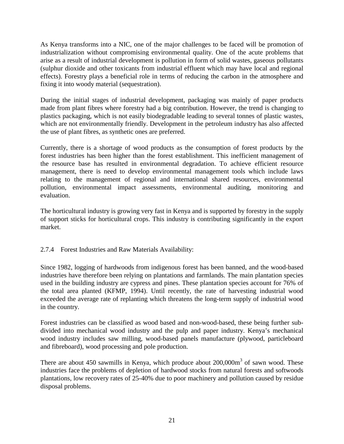As Kenya transforms into a NIC, one of the major challenges to be faced will be promotion of industrialization without compromising environmental quality. One of the acute problems that arise as a result of industrial development is pollution in form of solid wastes, gaseous pollutants (sulphur dioxide and other toxicants from industrial effluent which may have local and regional effects). Forestry plays a beneficial role in terms of reducing the carbon in the atmosphere and fixing it into woody material (sequestration).

During the initial stages of industrial development, packaging was mainly of paper products made from plant fibres where forestry had a big contribution. However, the trend is changing to plastics packaging, which is not easily biodegradable leading to several tonnes of plastic wastes, which are not environmentally friendly. Development in the petroleum industry has also affected the use of plant fibres, as synthetic ones are preferred.

Currently, there is a shortage of wood products as the consumption of forest products by the forest industries has been higher than the forest establishment. This inefficient management of the resource base has resulted in environmental degradation. To achieve efficient resource management, there is need to develop environmental management tools which include laws relating to the management of regional and international shared resources, environmental pollution, environmental impact assessments, environmental auditing, monitoring and evaluation.

The horticultural industry is growing very fast in Kenya and is supported by forestry in the supply of support sticks for horticultural crops. This industry is contributing significantly in the export market.

# 2.7.4 Forest Industries and Raw Materials Availability:

Since 1982, logging of hardwoods from indigenous forest has been banned, and the wood-based industries have therefore been relying on plantations and farmlands. The main plantation species used in the building industry are cypress and pines. These plantation species account for 76% of the total area planted (KFMP, 1994). Until recently, the rate of harvesting industrial wood exceeded the average rate of replanting which threatens the long-term supply of industrial wood in the country.

Forest industries can be classified as wood based and non-wood-based, these being further subdivided into mechanical wood industry and the pulp and paper industry. Kenya's mechanical wood industry includes saw milling, wood-based panels manufacture (plywood, particleboard and fibreboard), wood processing and pole production.

There are about 450 sawmills in Kenya, which produce about  $200,000m^3$  of sawn wood. These industries face the problems of depletion of hardwood stocks from natural forests and softwoods plantations, low recovery rates of 25-40% due to poor machinery and pollution caused by residue disposal problems.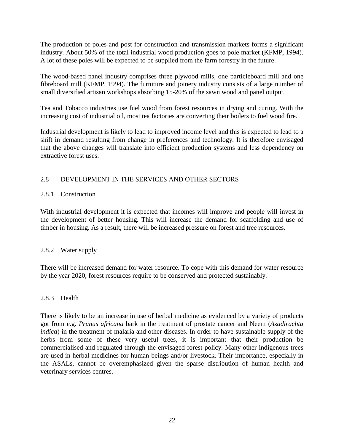The production of poles and post for construction and transmission markets forms a significant industry. About 50% of the total industrial wood production goes to pole market (KFMP, 1994). A lot of these poles will be expected to be supplied from the farm forestry in the future.

The wood-based panel industry comprises three plywood mills, one particleboard mill and one fibreboard mill (KFMP, 1994). The furniture and joinery industry consists of a large number of small diversified artisan workshops absorbing 15-20% of the sawn wood and panel output.

Tea and Tobacco industries use fuel wood from forest resources in drying and curing. With the increasing cost of industrial oil, most tea factories are converting their boilers to fuel wood fire.

Industrial development is likely to lead to improved income level and this is expected to lead to a shift in demand resulting from change in preferences and technology. It is therefore envisaged that the above changes will translate into efficient production systems and less dependency on extractive forest uses.

# 2.8 DEVELOPMENT IN THE SERVICES AND OTHER SECTORS

# 2.8.1 Construction

With industrial development it is expected that incomes will improve and people will invest in the development of better housing. This will increase the demand for scaffolding and use of timber in housing. As a result, there will be increased pressure on forest and tree resources.

# 2.8.2 Water supply

There will be increased demand for water resource. To cope with this demand for water resource by the year 2020, forest resources require to be conserved and protected sustainably.

# 2.8.3 Health

There is likely to be an increase in use of herbal medicine as evidenced by a variety of products got from e.g. *Prunus africana* bark in the treatment of prostate cancer and Neem (*Azadirachta indica*) in the treatment of malaria and other diseases. In order to have sustainable supply of the herbs from some of these very useful trees, it is important that their production be commercialised and regulated through the envisaged forest policy. Many other indigenous trees are used in herbal medicines for human beings and/or livestock. Their importance, especially in the ASALs, cannot be overemphasized given the sparse distribution of human health and veterinary services centres.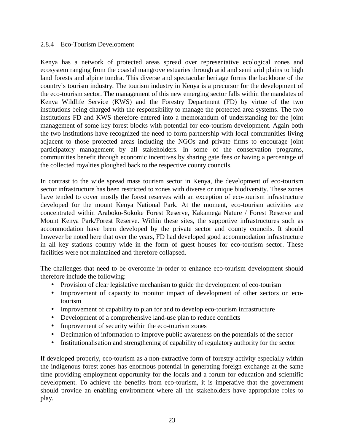#### 2.8.4 Eco-Tourism Development

Kenya has a network of protected areas spread over representative ecological zones and ecosystem ranging from the coastal mangrove estuaries through arid and semi arid plains to high land forests and alpine tundra. This diverse and spectacular heritage forms the backbone of the country's tourism industry. The tourism industry in Kenya is a precursor for the development of the eco-tourism sector. The management of this new emerging sector falls within the mandates of Kenya Wildlife Service (KWS) and the Forestry Department (FD) by virtue of the two institutions being charged with the responsibility to manage the protected area systems. The two institutions FD and KWS therefore entered into a memorandum of understanding for the joint management of some key forest blocks with potential for eco-tourism development. Again both the two institutions have recognized the need to form partnership with local communities living adjacent to those protected areas including the NGOs and private firms to encourage joint participatory management by all stakeholders. In some of the conservation programs, communities benefit through economic incentives by sharing gate fees or having a percentage of the collected royalties ploughed back to the respective county councils.

In contrast to the wide spread mass tourism sector in Kenya, the development of eco-tourism sector infrastructure has been restricted to zones with diverse or unique biodiversity. These zones have tended to cover mostly the forest reserves with an exception of eco-tourism infrastructure developed for the mount Kenya National Park. At the moment, eco-tourism activities are concentrated within Araboko-Sokoke Forest Reserve, Kakamega Nature / Forest Reserve and Mount Kenya Park/Forest Reserve. Within these sites, the supportive infrastructures such as accommodation have been developed by the private sector and county councils. It should however be noted here that over the years, FD had developed good accommodation infrastructure in all key stations country wide in the form of guest houses for eco-tourism sector. These facilities were not maintained and therefore collapsed.

The challenges that need to be overcome in-order to enhance eco-tourism development should therefore include the following:

- Provision of clear legislative mechanism to guide the development of eco-tourism
- Improvement of capacity to monitor impact of development of other sectors on ecotourism
- Improvement of capability to plan for and to develop eco-tourism infrastructure
- Development of a comprehensive land-use plan to reduce conflicts
- Improvement of security within the eco-tourism zones
- Decimation of information to improve public awareness on the potentials of the sector
- Institutionalisation and strengthening of capability of regulatory authority for the sector

If developed properly, eco-tourism as a non-extractive form of forestry activity especially within the indigenous forest zones has enormous potential in generating foreign exchange at the same time providing employment opportunity for the locals and a forum for education and scientific development. To achieve the benefits from eco-tourism, it is imperative that the government should provide an enabling environment where all the stakeholders have appropriate roles to play.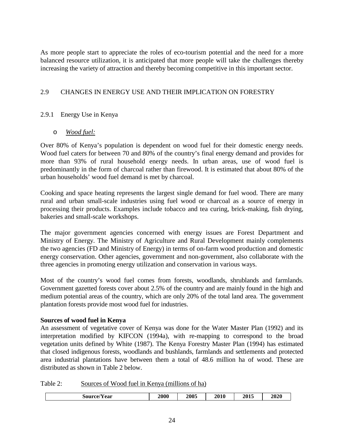As more people start to appreciate the roles of eco-tourism potential and the need for a more balanced resource utilization, it is anticipated that more people will take the challenges thereby increasing the variety of attraction and thereby becoming competitive in this important sector.

# 2.9 CHANGES IN ENERGY USE AND THEIR IMPLICATION ON FORESTRY

# 2.9.1 Energy Use in Kenya

# o *Wood fuel:*

Over 80% of Kenya's population is dependent on wood fuel for their domestic energy needs. Wood fuel caters for between 70 and 80% of the country's final energy demand and provides for more than 93% of rural household energy needs. In urban areas, use of wood fuel is predominantly in the form of charcoal rather than firewood. It is estimated that about 80% of the urban households' wood fuel demand is met by charcoal.

Cooking and space heating represents the largest single demand for fuel wood. There are many rural and urban small-scale industries using fuel wood or charcoal as a source of energy in processing their products. Examples include tobacco and tea curing, brick-making, fish drying, bakeries and small-scale workshops.

The major government agencies concerned with energy issues are Forest Department and Ministry of Energy. The Ministry of Agriculture and Rural Development mainly complements the two agencies (FD and Ministry of Energy) in terms of on-farm wood production and domestic energy conservation. Other agencies, government and non-government, also collaborate with the three agencies in promoting energy utilization and conservation in various ways.

Most of the country's wood fuel comes from forests, woodlands, shrublands and farmlands. Government gazetted forests cover about 2.5% of the country and are mainly found in the high and medium potential areas of the country, which are only 20% of the total land area. The government plantation forests provide most wood fuel for industries.

# **Sources of wood fuel in Kenya**

An assessment of vegetative cover of Kenya was done for the Water Master Plan (1992) and its interpretation modified by KIFCON (1994a), with re-mapping to correspond to the broad vegetation units defined by White (1987). The Kenya Forestry Master Plan (1994) has estimated that closed indigenous forests, woodlands and bushlands, farmlands and settlements and protected area industrial plantations have between them a total of 48.6 million ha of wood. These are distributed as shown in Table 2 below.

Table 2: Sources of Wood fuel in Kenya (millions of ha)

| Year<br>Source/ | 2000 | 2005 | <b>2010</b> | 2015 | 2020 |
|-----------------|------|------|-------------|------|------|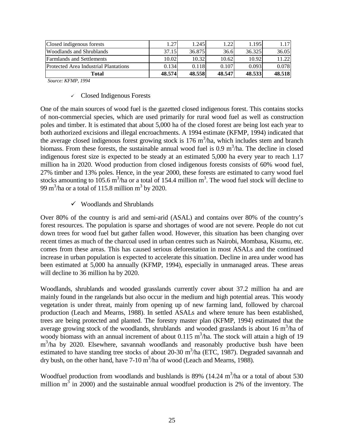| Closed indigenous forests                    | .27    | 1.245  | 1.22   | $-195$ | 1.17   |
|----------------------------------------------|--------|--------|--------|--------|--------|
| Woodlands and Shrublands                     | 37.15  | 36.875 | 36.6   | 36.325 | 36.05  |
| <b>Farmlands and Settlements</b>             | 10.02  | 10.32  | 10.62  | 10.92  | 11.22  |
| <b>Protected Area Industrial Plantations</b> | 0.134  | 0.118  | 0.107  | 0.093  | 0.078  |
| Total                                        | 48.574 | 48.558 | 48.547 | 48.533 | 48.518 |

 *Source: KFMP, 1994*

#### $\checkmark$  Closed Indigenous Forests

One of the main sources of wood fuel is the gazetted closed indigenous forest. This contains stocks of non-commercial species, which are used primarily for rural wood fuel as well as construction poles and timber. It is estimated that about 5,000 ha of the closed forest are being lost each year to both authorized excisions and illegal encroachments. A 1994 estimate (KFMP, 1994) indicated that the average closed indigenous forest growing stock is  $176 \text{ m}^3/\text{ha}$ , which includes stem and branch biomass. From these forests, the sustainable annual wood fuel is 0.9 m<sup>3</sup>/ha. The decline in closed indigenous forest size is expected to be steady at an estimated 5,000 ha every year to reach 1.17 million ha in 2020. Wood production from closed indigenous forests consists of 60% wood fuel, 27% timber and 13% poles. Hence, in the year 2000, these forests are estimated to carry wood fuel stocks amounting to 105.6 m<sup>3</sup>/ha or a total of 154.4 million m<sup>3</sup>. The wood fuel stock will decline to 99 m<sup>3</sup>/ha or a total of 115.8 million m<sup>3</sup> by 2020.

#### $\checkmark$  Woodlands and Shrublands

Over 80% of the country is arid and semi-arid (ASAL) and contains over 80% of the country's forest resources. The population is sparse and shortages of wood are not severe. People do not cut down trees for wood fuel but gather fallen wood. However, this situation has been changing over recent times as much of the charcoal used in urban centres such as Nairobi, Mombasa, Kisumu, etc. comes from these areas. This has caused serious deforestation in most ASALs and the continued increase in urban population is expected to accelerate this situation. Decline in area under wood has been estimated at 5,000 ha annually (KFMP, 1994), especially in unmanaged areas. These areas will decline to 36 million ha by 2020.

Woodlands, shrublands and wooded grasslands currently cover about 37.2 million ha and are mainly found in the rangelands but also occur in the medium and high potential areas. This woody vegetation is under threat, mainly from opening up of new farming land, followed by charcoal production (Leach and Mearns, 1988). In settled ASALs and where tenure has been established, trees are being protected and planted. The forestry master plan (KFMP, 1994) estimated that the average growing stock of the woodlands, shrublands and wooded grasslands is about 16 m<sup>3</sup>/ha of woody biomass with an annual increment of about  $0.115 \text{ m}^3/\text{ha}$ . The stock will attain a high of 19 m<sup>3</sup>/ha by 2020. Elsewhere, savannah woodlands and reasonably productive bush have been estimated to have standing tree stocks of about 20-30  $\text{m}^3$ /ha (ETC, 1987). Degraded savannah and dry bush, on the other hand, have  $7-10 \text{ m}^3$ /ha of wood (Leach and Mearns, 1988).

Woodfuel production from woodlands and bushlands is  $89\%$  (14.24 m<sup>3</sup>/ha or a total of about 530 million  $m^3$  in 2000) and the sustainable annual woodfuel production is 2% of the inventory. The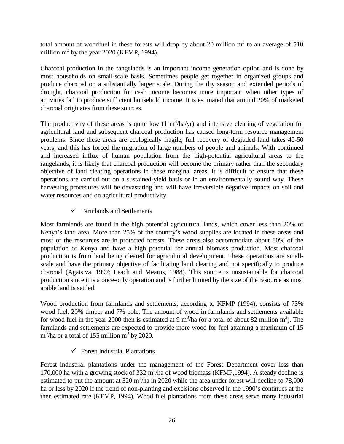total amount of woodfuel in these forests will drop by about 20 million  $m<sup>3</sup>$  to an average of 510 million  $m^3$  by the year 2020 (KFMP, 1994).

Charcoal production in the rangelands is an important income generation option and is done by most households on small-scale basis. Sometimes people get together in organized groups and produce charcoal on a substantially larger scale. During the dry season and extended periods of drought, charcoal production for cash income becomes more important when other types of activities fail to produce sufficient household income. It is estimated that around 20% of marketed charcoal originates from these sources.

The productivity of these areas is quite low  $(1 \text{ m}^3/\text{ha/yr})$  and intensive clearing of vegetation for agricultural land and subsequent charcoal production has caused long-term resource management problems. Since these areas are ecologically fragile, full recovery of degraded land takes 40-50 years, and this has forced the migration of large numbers of people and animals. With continued and increased influx of human population from the high-potential agricultural areas to the rangelands, it is likely that charcoal production will become the primary rather than the secondary objective of land clearing operations in these marginal areas. It is difficult to ensure that these operations are carried out on a sustained-yield basis or in an environmentally sound way. These harvesting procedures will be devastating and will have irreversible negative impacts on soil and water resources and on agricultural productivity.

# $\checkmark$  Farmlands and Settlements

Most farmlands are found in the high potential agricultural lands, which cover less than 20% of Kenya's land area. More than 25% of the country's wood supplies are located in these areas and most of the resources are in protected forests. These areas also accommodate about 80% of the population of Kenya and have a high potential for annual biomass production. Most charcoal production is from land being cleared for agricultural development. These operations are smallscale and have the primary objective of facilitating land clearing and not specifically to produce charcoal (Agatsiva, 1997; Leach and Mearns, 1988). This source is unsustainable for charcoal production since it is a once-only operation and is further limited by the size of the resource as most arable land is settled.

Wood production from farmlands and settlements, according to KFMP (1994), consists of 73% wood fuel, 20% timber and 7% pole. The amount of wood in farmlands and settlements available for wood fuel in the year 2000 then is estimated at 9 m<sup>3</sup>/ha (or a total of about 82 million m<sup>3</sup>). The farmlands and settlements are expected to provide more wood for fuel attaining a maximum of 15 m<sup>3</sup>/ha or a total of 155 million m<sup>3</sup> by 2020.

# $\checkmark$  Forest Industrial Plantations

Forest industrial plantations under the management of the Forest Department cover less than 170,000 ha with a growing stock of 332  $m<sup>3</sup>/ha$  of wood biomass (KFMP,1994). A steady decline is estimated to put the amount at  $320 \text{ m}^3/\text{ha}$  in 2020 while the area under forest will decline to 78,000 ha or less by 2020 if the trend of non-planting and excisions observed in the 1990's continues at the then estimated rate (KFMP, 1994). Wood fuel plantations from these areas serve many industrial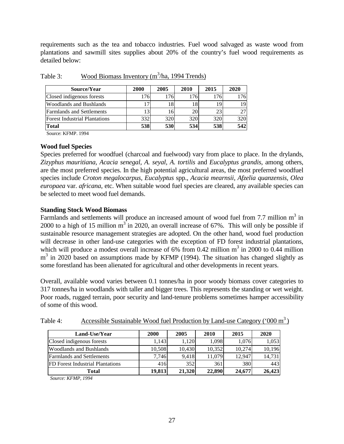requirements such as the tea and tobacco industries. Fuel wood salvaged as waste wood from plantations and sawmill sites supplies about 20% of the country's fuel wood requirements as detailed below:

| Source/Year                          | 2000 | 2005       | 2010 | 2015 | 2020 |
|--------------------------------------|------|------------|------|------|------|
| Closed indigenous forests            | 176  | 176        | 176  | 176  |      |
| <b>Woodlands and Bushlands</b>       | ⇁    | 18         |      | 19   |      |
| Farmlands and Settlements            | 13   | 16         |      | 23   |      |
| <b>Forest Industrial Plantations</b> | 332  | 320        | 320  | 320  | 320  |
| <b>Total</b>                         | 538  | <b>530</b> | 534  | 538  | 542  |

Table 3: Wood Biomass Inventory (m<sup>3</sup>/ha, 1994 Trends)

Source: KFMP. 1994

#### **Wood fuel Species**

Species preferred for woodfuel (charcoal and fuelwood) vary from place to place. In the drylands, *Zizyphus mauritiana, Acacia senegal, A. seyal, A. tortilis* and *Eucalyptus grandis*, among others, are the most preferred species. In the high potential agricultural areas, the most preferred woodfuel species include *Croton megalocarpus, Eucalyptus* spp., *Acacia mearnsii, Afzelia quanzensis, Olea europaea* var. *africana*, etc. When suitable wood fuel species are cleared, any available species can be selected to meet wood fuel demands.

#### **Standing Stock Wood Biomass**

Farmlands and settlements will produce an increased amount of wood fuel from 7.7 million  $m<sup>3</sup>$  in 2000 to a high of 15 million  $m<sup>3</sup>$  in 2020, an overall increase of 67%. This will only be possible if sustainable resource management strategies are adopted. On the other hand, wood fuel production will decrease in other land-use categories with the exception of FD forest industrial plantations, which will produce a modest overall increase of 6% from 0.42 million  $m^3$  in 2000 to 0.44 million  $m<sup>3</sup>$  in 2020 based on assumptions made by KFMP (1994). The situation has changed slightly as some forestland has been alienated for agricultural and other developments in recent years.

Overall, available wood varies between 0.1 tonnes/ha in poor woody biomass cover categories to 317 tonnes/ha in woodlands with taller and bigger trees. This represents the standing or wet weight. Poor roads, rugged terrain, poor security and land-tenure problems sometimes hamper accessibility of some of this wood.

| Land-Use/Year                           | 2000   | 2005   | 2010   | 2015   | 2020   |
|-----------------------------------------|--------|--------|--------|--------|--------|
| Closed indigenous forests               | 1,143  | 1.120  | 1,098  | 1.076  | 1,053  |
| <b>Woodlands and Bushlands</b>          | 10,508 | 10.430 | 10,352 | 10.274 | 10,196 |
| <b>Farmlands and Settlements</b>        | 7.746  | 9.418  | 11.079 | 12.947 | 14,731 |
| <b>FD</b> Forest Industrial Plantations | 416    | 352    | 361    | 380    | 443    |
| Total                                   | 19,813 | 21,320 | 22,890 | 24,677 | 26,423 |

Table 4: Accessible Sustainable Wood fuel Production by Land-use Category (' $000 \text{ m}^3$ )

*Source: KFMP, 1994*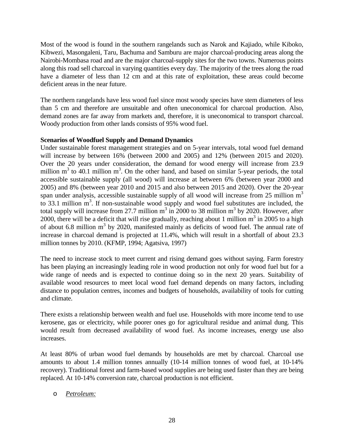Most of the wood is found in the southern rangelands such as Narok and Kajiado, while Kiboko, Kibwezi, Masongaleni, Taru, Bachuma and Samburu are major charcoal-producing areas along the Nairobi-Mombasa road and are the major charcoal-supply sites for the two towns. Numerous points along this road sell charcoal in varying quantities every day. The majority of the trees along the road have a diameter of less than 12 cm and at this rate of exploitation, these areas could become deficient areas in the near future.

The northern rangelands have less wood fuel since most woody species have stem diameters of less than 5 cm and therefore are unsuitable and often uneconomical for charcoal production. Also, demand zones are far away from markets and, therefore, it is uneconomical to transport charcoal. Woody production from other lands consists of 95% wood fuel.

#### **Scenarios of Woodfuel Supply and Demand Dynamics**

Under sustainable forest management strategies and on 5-year intervals, total wood fuel demand will increase by between 16% (between 2000 and 2005) and 12% (between 2015 and 2020). Over the 20 years under consideration, the demand for wood energy will increase from 23.9 million  $m<sup>3</sup>$  to 40.1 million  $m<sup>3</sup>$ . On the other hand, and based on similar 5-year periods, the total accessible sustainable supply (all wood) will increase at between 6% (between year 2000 and 2005) and 8% (between year 2010 and 2015 and also between 2015 and 2020). Over the 20-year span under analysis, accessible sustainable supply of all wood will increase from 25 million  $m<sup>3</sup>$ to 33.1 million  $m<sup>3</sup>$ . If non-sustainable wood supply and wood fuel substitutes are included, the total supply will increase from 27.7 million  $m^3$  in 2000 to 38 million  $m^3$  by 2020. However, after 2000, there will be a deficit that will rise gradually, reaching about 1 million  $m^3$  in 2005 to a high of about 6.8 million  $m<sup>3</sup>$  by 2020, manifested mainly as deficits of wood fuel. The annual rate of increase in charcoal demand is projected at 11.4%, which will result in a shortfall of about 23.3 million tonnes by 2010. (KFMP, 1994; Agatsiva, 1997)

The need to increase stock to meet current and rising demand goes without saying. Farm forestry has been playing an increasingly leading role in wood production not only for wood fuel but for a wide range of needs and is expected to continue doing so in the next 20 years. Suitability of available wood resources to meet local wood fuel demand depends on many factors, including distance to population centres, incomes and budgets of households, availability of tools for cutting and climate.

There exists a relationship between wealth and fuel use. Households with more income tend to use kerosene, gas or electricity, while poorer ones go for agricultural residue and animal dung. This would result from decreased availability of wood fuel. As income increases, energy use also increases.

At least 80% of urban wood fuel demands by households are met by charcoal. Charcoal use amounts to about 1.4 million tonnes annually (10-14 million tonnes of wood fuel, at 10-14% recovery). Traditional forest and farm-based wood supplies are being used faster than they are being replaced. At 10-14% conversion rate, charcoal production is not efficient.

# o *Petroleum:*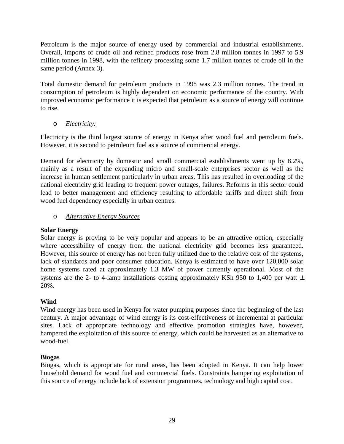Petroleum is the major source of energy used by commercial and industrial establishments. Overall, imports of crude oil and refined products rose from 2.8 million tonnes in 1997 to 5.9 million tonnes in 1998, with the refinery processing some 1.7 million tonnes of crude oil in the same period (Annex 3).

Total domestic demand for petroleum products in 1998 was 2.3 million tonnes. The trend in consumption of petroleum is highly dependent on economic performance of the country. With improved economic performance it is expected that petroleum as a source of energy will continue to rise.

# o *Electricity:*

Electricity is the third largest source of energy in Kenya after wood fuel and petroleum fuels. However, it is second to petroleum fuel as a source of commercial energy.

Demand for electricity by domestic and small commercial establishments went up by 8.2%, mainly as a result of the expanding micro and small-scale enterprises sector as well as the increase in human settlement particularly in urban areas. This has resulted in overloading of the national electricity grid leading to frequent power outages, failures. Reforms in this sector could lead to better management and efficiency resulting to affordable tariffs and direct shift from wood fuel dependency especially in urban centres.

# o *Alternative Energy Sources*

# **Solar Energy**

Solar energy is proving to be very popular and appears to be an attractive option, especially where accessibility of energy from the national electricity grid becomes less guaranteed. However, this source of energy has not been fully utilized due to the relative cost of the systems, lack of standards and poor consumer education. Kenya is estimated to have over 120,000 solar home systems rated at approximately 1.3 MW of power currently operational. Most of the systems are the 2- to 4-lamp installations costing approximately KSh 950 to 1,400 per watt  $\pm$ 20%.

# **Wind**

Wind energy has been used in Kenya for water pumping purposes since the beginning of the last century. A major advantage of wind energy is its cost-effectiveness of incremental at particular sites. Lack of appropriate technology and effective promotion strategies have, however, hampered the exploitation of this source of energy, which could be harvested as an alternative to wood-fuel.

# **Biogas**

Biogas, which is appropriate for rural areas, has been adopted in Kenya. It can help lower household demand for wood fuel and commercial fuels. Constraints hampering exploitation of this source of energy include lack of extension programmes, technology and high capital cost.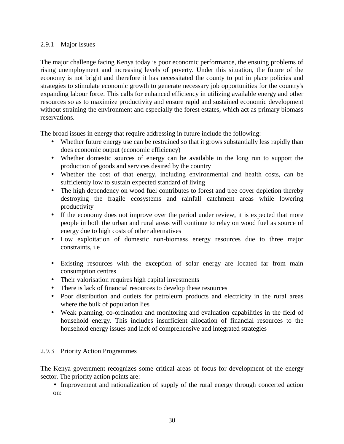#### 2.9.1 Major Issues

The major challenge facing Kenya today is poor economic performance, the ensuing problems of rising unemployment and increasing levels of poverty. Under this situation, the future of the economy is not bright and therefore it has necessitated the county to put in place policies and strategies to stimulate economic growth to generate necessary job opportunities for the country's expanding labour force. This calls for enhanced efficiency in utilizing available energy and other resources so as to maximize productivity and ensure rapid and sustained economic development without straining the environment and especially the forest estates, which act as primary biomass reservations.

The broad issues in energy that require addressing in future include the following:

- Whether future energy use can be restrained so that it grows substantially less rapidly than does economic output (economic efficiency)
- Whether domestic sources of energy can be available in the long run to support the production of goods and services desired by the country
- Whether the cost of that energy, including environmental and health costs, can be sufficiently low to sustain expected standard of living
- The high dependency on wood fuel contributes to forest and tree cover depletion thereby destroying the fragile ecosystems and rainfall catchment areas while lowering productivity
- If the economy does not improve over the period under review, it is expected that more people in both the urban and rural areas will continue to relay on wood fuel as source of energy due to high costs of other alternatives
- Low exploitation of domestic non-biomass energy resources due to three major constraints, i.e
- Existing resources with the exception of solar energy are located far from main consumption centres
- Their valorisation requires high capital investments
- There is lack of financial resources to develop these resources
- Poor distribution and outlets for petroleum products and electricity in the rural areas where the bulk of population lies
- Weak planning, co-ordination and monitoring and evaluation capabilities in the field of household energy. This includes insufficient allocation of financial resources to the household energy issues and lack of comprehensive and integrated strategies

#### 2.9.3 Priority Action Programmes

The Kenya government recognizes some critical areas of focus for development of the energy sector. The priority action points are:

• Improvement and rationalization of supply of the rural energy through concerted action on: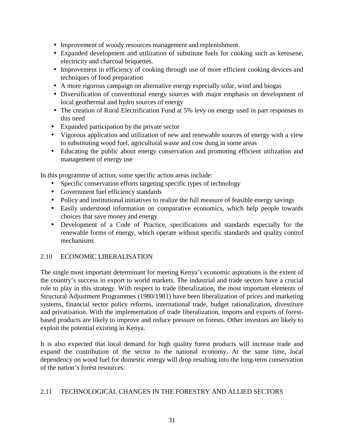- Improvement of woody resources management and replenishment.
- Expanded development and utilization of substitute fuels for cooking such as kerosene, electricity and charcoal briquettes.
- Improvement in efficiency of cooking through use of more efficient cooking devices and techniques of food preparation
- A more rigorous campaign on alternative energy especially solar, wind and biogas
- Diversification of conventional energy sources with major emphasis on development of local geothermal and hydro sources of energy
- The creation of Rural Electrification Fund at 5% levy on energy used in part responses to this need
- Expanded participation by the private sector
- Vigorous application and utilization of new and renewable sources of energy with a view to substituting wood fuel, agricultural waste and cow dung in some areas
- Educating the public about energy conservation and promoting efficient utilization and management of energy use

In this programme of action, some specific action areas include:

- Specific conservation efforts targeting specific types of technology
- Government fuel efficiency standards
- Policy and institutional initiatives to realize the full measure of feasible energy savings
- Easily understood information on comparative economics, which help people towards choices that save money and energy
- Development of a Code of Practice, specifications and standards especially for the renewable forms of energy, which operate without specific standards and quality control mechanisms

# 2.10 ECONOMIC LIBERALISATION

The single most important determinant for meeting Kenya's economic aspirations is the extent of the country's success in export to world markets. The industrial and trade sectors have a crucial role to play in this strategy. With respect to trade liberalization, the most important elements of Structural Adjustment Programmes (1980/1981) have been liberalization of prices and marketing systems, financial sector policy reforms, international trade, budget rationalization, divestiture and privatisation. With the implementation of trade liberalization, imports and exports of forestbased products are likely to improve and reduce pressure on forests. Other investors are likely to exploit the potential existing in Kenya.

It is also expected that local demand for high quality forest products will increase trade and expand the contribution of the sector to the national economy. At the same time, local dependency on wood fuel for domestic energy will drop resulting into the long-term conservation of the nation's forest resources.

# 2.11 TECHNOLOGICAL CHANGES IN THE FORESTRY AND ALLIED SECTORS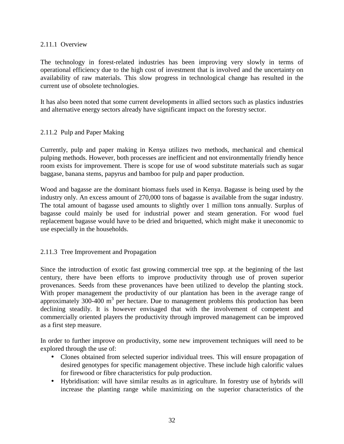#### 2.11.1 Overview

The technology in forest-related industries has been improving very slowly in terms of operational efficiency due to the high cost of investment that is involved and the uncertainty on availability of raw materials. This slow progress in technological change has resulted in the current use of obsolete technologies.

It has also been noted that some current developments in allied sectors such as plastics industries and alternative energy sectors already have significant impact on the forestry sector.

# 2.11.2 Pulp and Paper Making

Currently, pulp and paper making in Kenya utilizes two methods, mechanical and chemical pulping methods. However, both processes are inefficient and not environmentally friendly hence room exists for improvement. There is scope for use of wood substitute materials such as sugar baggase, banana stems, papyrus and bamboo for pulp and paper production.

Wood and bagasse are the dominant biomass fuels used in Kenya. Bagasse is being used by the industry only. An excess amount of 270,000 tons of bagasse is available from the sugar industry. The total amount of bagasse used amounts to slightly over 1 million tons annually. Surplus of bagasse could mainly be used for industrial power and steam generation. For wood fuel replacement bagasse would have to be dried and briquetted, which might make it uneconomic to use especially in the households.

# 2.11.3 Tree Improvement and Propagation

Since the introduction of exotic fast growing commercial tree spp. at the beginning of the last century, there have been efforts to improve productivity through use of proven superior provenances. Seeds from these provenances have been utilized to develop the planting stock. With proper management the productivity of our plantation has been in the average range of approximately  $300-400 \text{ m}^3$  per hectare. Due to management problems this production has been declining steadily. It is however envisaged that with the involvement of competent and commercially oriented players the productivity through improved management can be improved as a first step measure.

In order to further improve on productivity, some new improvement techniques will need to be explored through the use of:

- Clones obtained from selected superior individual trees. This will ensure propagation of desired genotypes for specific management objective. These include high calorific values for firewood or fibre characteristics for pulp production.
- Hybridisation: will have similar results as in agriculture. In forestry use of hybrids will increase the planting range while maximizing on the superior characteristics of the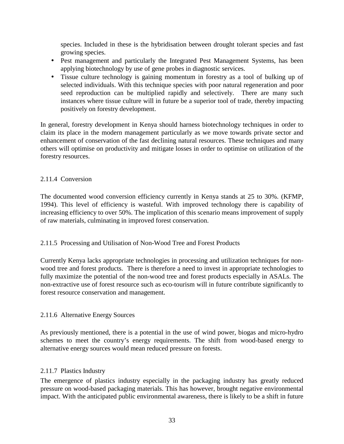species. Included in these is the hybridisation between drought tolerant species and fast growing species.

- Pest management and particularly the Integrated Pest Management Systems, has been applying biotechnology by use of gene probes in diagnostic services.
- Tissue culture technology is gaining momentum in forestry as a tool of bulking up of selected individuals. With this technique species with poor natural regeneration and poor seed reproduction can be multiplied rapidly and selectively. There are many such instances where tissue culture will in future be a superior tool of trade, thereby impacting positively on forestry development.

In general, forestry development in Kenya should harness biotechnology techniques in order to claim its place in the modern management particularly as we move towards private sector and enhancement of conservation of the fast declining natural resources. These techniques and many others will optimise on productivity and mitigate losses in order to optimise on utilization of the forestry resources.

# 2.11.4 Conversion

The documented wood conversion efficiency currently in Kenya stands at 25 to 30%. (KFMP, 1994). This level of efficiency is wasteful. With improved technology there is capability of increasing efficiency to over 50%. The implication of this scenario means improvement of supply of raw materials, culminating in improved forest conservation.

#### 2.11.5 Processing and Utilisation of Non-Wood Tree and Forest Products

Currently Kenya lacks appropriate technologies in processing and utilization techniques for nonwood tree and forest products. There is therefore a need to invest in appropriate technologies to fully maximize the potential of the non-wood tree and forest products especially in ASALs. The non-extractive use of forest resource such as eco-tourism will in future contribute significantly to forest resource conservation and management.

#### 2.11.6 Alternative Energy Sources

As previously mentioned, there is a potential in the use of wind power, biogas and micro-hydro schemes to meet the country's energy requirements. The shift from wood-based energy to alternative energy sources would mean reduced pressure on forests.

#### 2.11.7 Plastics Industry

The emergence of plastics industry especially in the packaging industry has greatly reduced pressure on wood-based packaging materials. This has however, brought negative environmental impact. With the anticipated public environmental awareness, there is likely to be a shift in future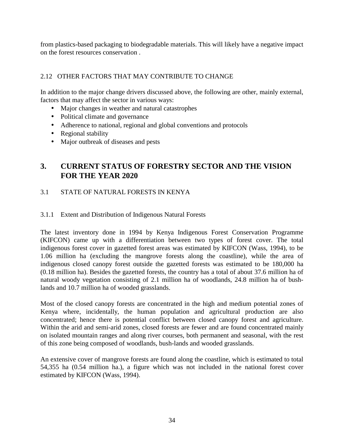from plastics-based packaging to biodegradable materials. This will likely have a negative impact on the forest resources conservation .

# 2.12 OTHER FACTORS THAT MAY CONTRIBUTE TO CHANGE

In addition to the major change drivers discussed above, the following are other, mainly external, factors that may affect the sector in various ways:

- Major changes in weather and natural catastrophes
- Political climate and governance
- Adherence to national, regional and global conventions and protocols
- Regional stability
- Major outbreak of diseases and pests

# **3. CURRENT STATUS OF FORESTRY SECTOR AND THE VISION FOR THE YEAR 2020**

# 3.1 STATE OF NATURAL FORESTS IN KENYA

# 3.1.1 Extent and Distribution of Indigenous Natural Forests

The latest inventory done in 1994 by Kenya Indigenous Forest Conservation Programme (KIFCON) came up with a differentiation between two types of forest cover. The total indigenous forest cover in gazetted forest areas was estimated by KIFCON (Wass, 1994), to be 1.06 million ha (excluding the mangrove forests along the coastline), while the area of indigenous closed canopy forest outside the gazetted forests was estimated to be 180,000 ha (0.18 million ha). Besides the gazetted forests, the country has a total of about 37.6 million ha of natural woody vegetation consisting of 2.1 million ha of woodlands, 24.8 million ha of bushlands and 10.7 million ha of wooded grasslands.

Most of the closed canopy forests are concentrated in the high and medium potential zones of Kenya where, incidentally, the human population and agricultural production are also concentrated; hence there is potential conflict between closed canopy forest and agriculture. Within the arid and semi-arid zones, closed forests are fewer and are found concentrated mainly on isolated mountain ranges and along river courses, both permanent and seasonal, with the rest of this zone being composed of woodlands, bush-lands and wooded grasslands.

An extensive cover of mangrove forests are found along the coastline, which is estimated to total 54,355 ha (0.54 million ha.), a figure which was not included in the national forest cover estimated by KIFCON (Wass, 1994).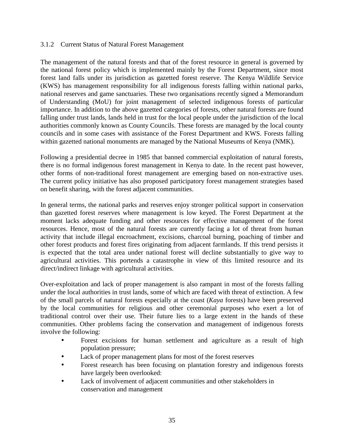#### 3.1.2 Current Status of Natural Forest Management

The management of the natural forests and that of the forest resource in general is governed by the national forest policy which is implemented mainly by the Forest Department, since most forest land falls under its jurisdiction as gazetted forest reserve. The Kenya Wildlife Service (KWS) has management responsibility for all indigenous forests falling within national parks, national reserves and game sanctuaries. These two organisations recently signed a Memorandum of Understanding (MoU) for joint management of selected indigenous forests of particular importance. In addition to the above gazetted categories of forests, other natural forests are found falling under trust lands, lands held in trust for the local people under the jurisdiction of the local authorities commonly known as County Councils. These forests are managed by the local county councils and in some cases with assistance of the Forest Department and KWS. Forests falling within gazetted national monuments are managed by the National Museums of Kenya (NMK).

Following a presidential decree in 1985 that banned commercial exploitation of natural forests, there is no formal indigenous forest management in Kenya to date. In the recent past however, other forms of non-traditional forest management are emerging based on non-extractive uses. The current policy initiative has also proposed participatory forest management strategies based on benefit sharing, with the forest adjacent communities.

In general terms, the national parks and reserves enjoy stronger political support in conservation than gazetted forest reserves where management is low keyed. The Forest Department at the moment lacks adequate funding and other resources for effective management of the forest resources. Hence, most of the natural forests are currently facing a lot of threat from human activity that include illegal encroachment, excisions, charcoal burning, poaching of timber and other forest products and forest fires originating from adjacent farmlands. If this trend persists it is expected that the total area under national forest will decline substantially to give way to agricultural activities. This portends a catastrophe in view of this limited resource and its direct/indirect linkage with agricultural activities.

Over-exploitation and lack of proper management is also rampant in most of the forests falling under the local authorities in trust lands, some of which are faced with threat of extinction. A few of the small parcels of natural forests especially at the coast (*Kaya* forests) have been preserved by the local communities for religious and other ceremonial purposes who exert a lot of traditional control over their use. Their future lies to a large extent in the hands of these communities. Other problems facing the conservation and management of indigenous forests involve the following:

- Forest excisions for human settlement and agriculture as a result of high population pressure;
- Lack of proper management plans for most of the forest reserves
- Forest research has been focusing on plantation forestry and indigenous forests have largely been overlooked:
- Lack of involvement of adjacent communities and other stakeholders in conservation and management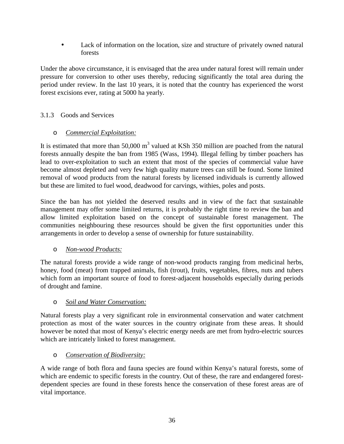• Lack of information on the location, size and structure of privately owned natural forests

Under the above circumstance, it is envisaged that the area under natural forest will remain under pressure for conversion to other uses thereby, reducing significantly the total area during the period under review. In the last 10 years, it is noted that the country has experienced the worst forest excisions ever, rating at 5000 ha yearly.

# 3.1.3 Goods and Services

# o *Commercial Exploitation:*

It is estimated that more than 50,000  $m<sup>3</sup>$  valued at KSh 350 million are poached from the natural forests annually despite the ban from 1985 (Wass, 1994). Illegal felling by timber poachers has lead to over-exploitation to such an extent that most of the species of commercial value have become almost depleted and very few high quality mature trees can still be found. Some limited removal of wood products from the natural forests by licensed individuals is currently allowed but these are limited to fuel wood, deadwood for carvings, withies, poles and posts.

Since the ban has not yielded the deserved results and in view of the fact that sustainable management may offer some limited returns, it is probably the right time to review the ban and allow limited exploitation based on the concept of sustainable forest management. The communities neighbouring these resources should be given the first opportunities under this arrangements in order to develop a sense of ownership for future sustainability.

# o *Non-wood Products:*

The natural forests provide a wide range of non-wood products ranging from medicinal herbs, honey, food (meat) from trapped animals, fish (trout), fruits, vegetables, fibres, nuts and tubers which form an important source of food to forest-adjacent households especially during periods of drought and famine.

# o *Soil and Water Conservation:*

Natural forests play a very significant role in environmental conservation and water catchment protection as most of the water sources in the country originate from these areas. It should however be noted that most of Kenya's electric energy needs are met from hydro-electric sources which are intricately linked to forest management.

# o *Conservation of Biodiversity:*

A wide range of both flora and fauna species are found within Kenya's natural forests, some of which are endemic to specific forests in the country. Out of these, the rare and endangered forestdependent species are found in these forests hence the conservation of these forest areas are of vital importance.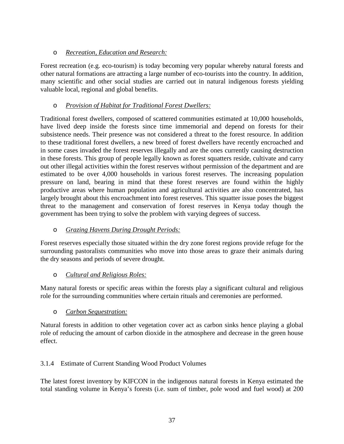# o *Recreation, Education and Research:*

Forest recreation (e.g. eco-tourism) is today becoming very popular whereby natural forests and other natural formations are attracting a large number of eco-tourists into the country. In addition, many scientific and other social studies are carried out in natural indigenous forests yielding valuable local, regional and global benefits.

# o *Provision of Habitat for Traditional Forest Dwellers:*

Traditional forest dwellers, composed of scattered communities estimated at 10,000 households, have lived deep inside the forests since time immemorial and depend on forests for their subsistence needs. Their presence was not considered a threat to the forest resource. In addition to these traditional forest dwellers, a new breed of forest dwellers have recently encroached and in some cases invaded the forest reserves illegally and are the ones currently causing destruction in these forests. This group of people legally known as forest squatters reside, cultivate and carry out other illegal activities within the forest reserves without permission of the department and are estimated to be over 4,000 households in various forest reserves. The increasing population pressure on land, bearing in mind that these forest reserves are found within the highly productive areas where human population and agricultural activities are also concentrated, has largely brought about this encroachment into forest reserves. This squatter issue poses the biggest threat to the management and conservation of forest reserves in Kenya today though the government has been trying to solve the problem with varying degrees of success.

# o *Grazing Havens During Drought Periods:*

Forest reserves especially those situated within the dry zone forest regions provide refuge for the surrounding pastoralists communities who move into those areas to graze their animals during the dry seasons and periods of severe drought.

# o *Cultural and Religious Roles:*

Many natural forests or specific areas within the forests play a significant cultural and religious role for the surrounding communities where certain rituals and ceremonies are performed.

# o *Carbon Sequestration:*

Natural forests in addition to other vegetation cover act as carbon sinks hence playing a global role of reducing the amount of carbon dioxide in the atmosphere and decrease in the green house effect.

# 3.1.4 Estimate of Current Standing Wood Product Volumes

The latest forest inventory by KIFCON in the indigenous natural forests in Kenya estimated the total standing volume in Kenya's forests (i.e. sum of timber, pole wood and fuel wood) at 200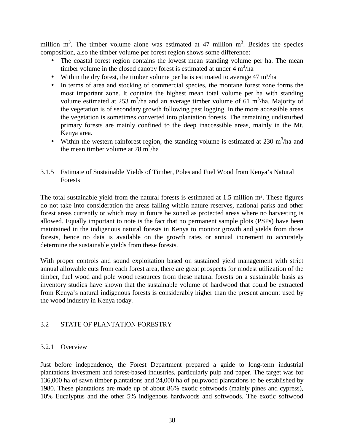million  $m<sup>3</sup>$ . The timber volume alone was estimated at 47 million  $m<sup>3</sup>$ . Besides the species composition, also the timber volume per forest region shows some difference:

- The coastal forest region contains the lowest mean standing volume per ha. The mean timber volume in the closed canopy forest is estimated at under  $4 \text{ m}^3/\text{ha}$
- Within the dry forest, the timber volume per ha is estimated to average  $47 \text{ m}^3/\text{ha}$
- In terms of area and stocking of commercial species, the montane forest zone forms the most important zone. It contains the highest mean total volume per ha with standing volume estimated at 253 m<sup>3</sup>/ha and an average timber volume of 61 m<sup>3</sup>/ha. Majority of the vegetation is of secondary growth following past logging. In the more accessible areas the vegetation is sometimes converted into plantation forests. The remaining undisturbed primary forests are mainly confined to the deep inaccessible areas, mainly in the Mt. Kenya area.
- Within the western rainforest region, the standing volume is estimated at 230 m<sup>3</sup>/ha and the mean timber volume at 78 m $\frac{3}{4}$ /ha

# 3.1.5 Estimate of Sustainable Yields of Timber, Poles and Fuel Wood from Kenya's Natural Forests

The total sustainable yield from the natural forests is estimated at  $1.5$  million m<sup>3</sup>. These figures do not take into consideration the areas falling within nature reserves, national parks and other forest areas currently or which may in future be zoned as protected areas where no harvesting is allowed. Equally important to note is the fact that no permanent sample plots (PSPs) have been maintained in the indigenous natural forests in Kenya to monitor growth and yields from those forests, hence no data is available on the growth rates or annual increment to accurately determine the sustainable yields from these forests.

With proper controls and sound exploitation based on sustained yield management with strict annual allowable cuts from each forest area, there are great prospects for modest utilization of the timber, fuel wood and pole wood resources from these natural forests on a sustainable basis as inventory studies have shown that the sustainable volume of hardwood that could be extracted from Kenya's natural indigenous forests is considerably higher than the present amount used by the wood industry in Kenya today.

# 3.2 STATE OF PLANTATION FORESTRY

# 3.2.1 Overview

Just before independence, the Forest Department prepared a guide to long-term industrial plantations investment and forest-based industries, particularly pulp and paper. The target was for 136,000 ha of sawn timber plantations and 24,000 ha of pulpwood plantations to be established by 1980. These plantations are made up of about 86% exotic softwoods (mainly pines and cypress), 10% Eucalyptus and the other 5% indigenous hardwoods and softwoods. The exotic softwood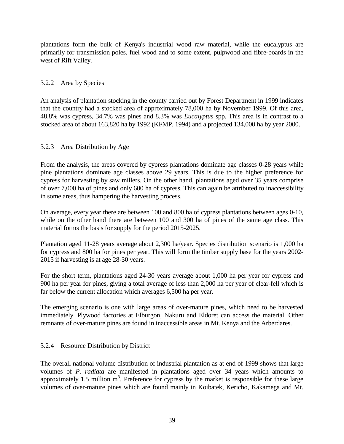plantations form the bulk of Kenya's industrial wood raw material, while the eucalyptus are primarily for transmission poles, fuel wood and to some extent, pulpwood and fibre-boards in the west of Rift Valley.

# 3.2.2 Area by Species

An analysis of plantation stocking in the county carried out by Forest Department in 1999 indicates that the country had a stocked area of approximately 78,000 ha by November 1999. Of this area, 48.8% was cypress, 34.7% was pines and 8.3% was *Eucalyptus* spp. This area is in contrast to a stocked area of about 163,820 ha by 1992 (KFMP, 1994) and a projected 134,000 ha by year 2000.

# 3.2.3 Area Distribution by Age

From the analysis, the areas covered by cypress plantations dominate age classes 0-28 years while pine plantations dominate age classes above 29 years. This is due to the higher preference for cypress for harvesting by saw millers. On the other hand, plantations aged over 35 years comprise of over 7,000 ha of pines and only 600 ha of cypress. This can again be attributed to inaccessibility in some areas, thus hampering the harvesting process.

On average, every year there are between 100 and 800 ha of cypress plantations between ages 0-10, while on the other hand there are between 100 and 300 ha of pines of the same age class. This material forms the basis for supply for the period 2015-2025.

Plantation aged 11-28 years average about 2,300 ha/year. Species distribution scenario is 1,000 ha for cypress and 800 ha for pines per year. This will form the timber supply base for the years 2002- 2015 if harvesting is at age 28-30 years.

For the short term, plantations aged 24-30 years average about 1,000 ha per year for cypress and 900 ha per year for pines, giving a total average of less than 2,000 ha per year of clear-fell which is far below the current allocation which averages 6,500 ha per year.

The emerging scenario is one with large areas of over-mature pines, which need to be harvested immediately. Plywood factories at Elburgon, Nakuru and Eldoret can access the material. Other remnants of over-mature pines are found in inaccessible areas in Mt. Kenya and the Arberdares.

# 3.2.4 Resource Distribution by District

The overall national volume distribution of industrial plantation as at end of 1999 shows that large volumes of *P. radiata* are manifested in plantations aged over 34 years which amounts to approximately 1.5 million  $m<sup>3</sup>$ . Preference for cypress by the market is responsible for these large volumes of over-mature pines which are found mainly in Koibatek, Kericho, Kakamega and Mt.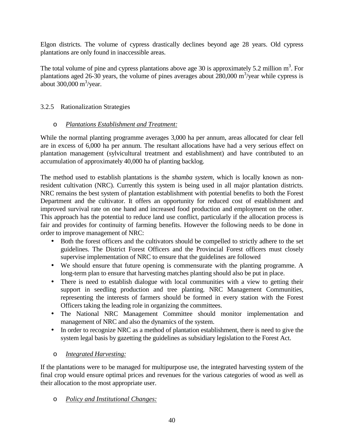Elgon districts. The volume of cypress drastically declines beyond age 28 years. Old cypress plantations are only found in inaccessible areas.

The total volume of pine and cypress plantations above age 30 is approximately 5.2 million  $m^3$ . For plantations aged 26-30 years, the volume of pines averages about  $280,000 \text{ m}^3/\text{year}$  while cypress is about  $300,000 \text{ m}^3/\text{year}$ .

# 3.2.5 Rationalization Strategies

# o *Plantations Establishment and Treatment:*

While the normal planting programme averages 3,000 ha per annum, areas allocated for clear fell are in excess of 6,000 ha per annum. The resultant allocations have had a very serious effect on plantation management (sylvicultural treatment and establishment) and have contributed to an accumulation of approximately 40,000 ha of planting backlog.

The method used to establish plantations is the *shamba system,* which is locally known as nonresident cultivation (NRC). Currently this system is being used in all major plantation districts. NRC remains the best system of plantation establishment with potential benefits to both the Forest Department and the cultivator. It offers an opportunity for reduced cost of establishment and improved survival rate on one hand and increased food production and employment on the other. This approach has the potential to reduce land use conflict, particularly if the allocation process is fair and provides for continuity of farming benefits. However the following needs to be done in order to improve management of NRC:

- Both the forest officers and the cultivators should be compelled to strictly adhere to the set guidelines. The District Forest Officers and the Provincial Forest officers must closely supervise implementation of NRC to ensure that the guidelines are followed
- We should ensure that future opening is commensurate with the planting programme. A long-term plan to ensure that harvesting matches planting should also be put in place.
- There is need to establish dialogue with local communities with a view to getting their support in seedling production and tree planting. NRC Management Communities, representing the interests of farmers should be formed in every station with the Forest Officers taking the leading role in organizing the committees.
- The National NRC Management Committee should monitor implementation and management of NRC and also the dynamics of the system.
- In order to recognize NRC as a method of plantation establishment, there is need to give the system legal basis by gazetting the guidelines as subsidiary legislation to the Forest Act.

# o *Integrated Harvesting:*

If the plantations were to be managed for multipurpose use, the integrated harvesting system of the final crop would ensure optimal prices and revenues for the various categories of wood as well as their allocation to the most appropriate user.

o *Policy and Institutional Changes:*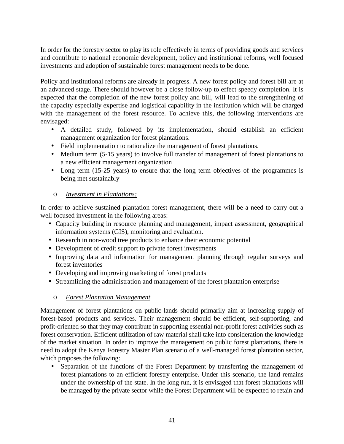In order for the forestry sector to play its role effectively in terms of providing goods and services and contribute to national economic development, policy and institutional reforms, well focused investments and adoption of sustainable forest management needs to be done.

Policy and institutional reforms are already in progress. A new forest policy and forest bill are at an advanced stage. There should however be a close follow-up to effect speedy completion. It is expected that the completion of the new forest policy and bill, will lead to the strengthening of the capacity especially expertise and logistical capability in the institution which will be charged with the management of the forest resource. To achieve this, the following interventions are envisaged:

- A detailed study, followed by its implementation, should establish an efficient management organization for forest plantations.
- Field implementation to rationalize the management of forest plantations.
- Medium term (5-15 years) to involve full transfer of management of forest plantations to a new efficient management organization
- Long term (15-25 years) to ensure that the long term objectives of the programmes is being met sustainably

# o *Investment in Plantations:*

In order to achieve sustained plantation forest management, there will be a need to carry out a well focused investment in the following areas:

- Capacity building in resource planning and management, impact assessment, geographical information systems (GIS), monitoring and evaluation.
- Research in non-wood tree products to enhance their economic potential
- Development of credit support to private forest investments
- Improving data and information for management planning through regular surveys and forest inventories
- Developing and improving marketing of forest products
- Streamlining the administration and management of the forest plantation enterprise

# o *Forest Plantation Management*

Management of forest plantations on public lands should primarily aim at increasing supply of forest-based products and services. Their management should be efficient, self-supporting, and profit-oriented so that they may contribute in supporting essential non-profit forest activities such as forest conservation. Efficient utilization of raw material shall take into consideration the knowledge of the market situation. In order to improve the management on public forest plantations, there is need to adopt the Kenya Forestry Master Plan scenario of a well-managed forest plantation sector, which proposes the following:

• Separation of the functions of the Forest Department by transferring the management of forest plantations to an efficient forestry enterprise. Under this scenario, the land remains under the ownership of the state. In the long run, it is envisaged that forest plantations will be managed by the private sector while the Forest Department will be expected to retain and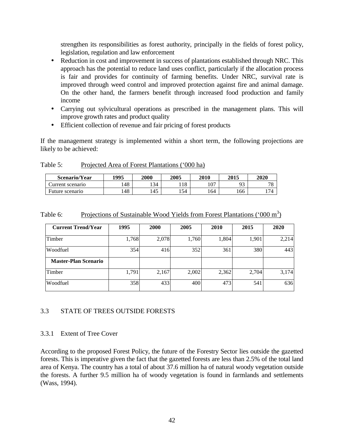strengthen its responsibilities as forest authority, principally in the fields of forest policy, legislation, regulation and law enforcement

- Reduction in cost and improvement in success of plantations established through NRC. This approach has the potential to reduce land uses conflict, particularly if the allocation process is fair and provides for continuity of farming benefits. Under NRC, survival rate is improved through weed control and improved protection against fire and animal damage. On the other hand, the farmers benefit through increased food production and family income
- Carrying out sylvicultural operations as prescribed in the management plans. This will improve growth rates and product quality
- Efficient collection of revenue and fair pricing of forest products

If the management strategy is implemented within a short term, the following projections are likely to be achieved:

| Scenario/Year   | 1995 | <b>2000</b> | 2005 | 2010             | 2015      | 2020 |
|-----------------|------|-------------|------|------------------|-----------|------|
| urrent scenario | 48   | 134         | 118  | $\Omega$<br>LU 1 | 02<br>ر , | 70   |
| Future scenario | 48   | .45         | 154  | !64              | 166       | .74  |

Table 5: Projected Area of Forest Plantations ('000 ha)

| Table 6: | Projections of Sustainable Wood Yields from Forest Plantations ('000 m <sup>3</sup> ) |  |  |
|----------|---------------------------------------------------------------------------------------|--|--|
|          |                                                                                       |  |  |

| <b>Current Trend/Year</b>   | 1995  | 2000  | 2005  | 2010  | 2015  | 2020  |
|-----------------------------|-------|-------|-------|-------|-------|-------|
| Timber                      | 1,768 | 2,078 | 1,760 | 1,804 | 1,901 | 2,214 |
| Woodfuel                    | 354   | 416   | 352   | 361   | 380   | 443   |
| <b>Master-Plan Scenario</b> |       |       |       |       |       |       |
| Timber                      | 1,791 | 2,167 | 2,002 | 2,362 | 2,704 | 3,174 |
| Woodfuel                    | 358   | 433   | 400   | 473   | 541   | 636   |

# 3.3 STATE OF TREES OUTSIDE FORESTS

# 3.3.1 Extent of Tree Cover

According to the proposed Forest Policy, the future of the Forestry Sector lies outside the gazetted forests. This is imperative given the fact that the gazetted forests are less than 2.5% of the total land area of Kenya. The country has a total of about 37.6 million ha of natural woody vegetation outside the forests. A further 9.5 million ha of woody vegetation is found in farmlands and settlements (Wass, 1994).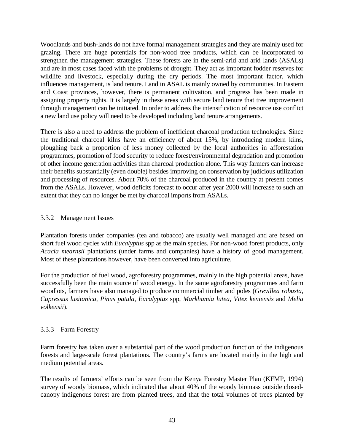Woodlands and bush-lands do not have formal management strategies and they are mainly used for grazing. There are huge potentials for non-wood tree products, which can be incorporated to strengthen the management strategies. These forests are in the semi-arid and arid lands (ASALs) and are in most cases faced with the problems of drought. They act as important fodder reserves for wildlife and livestock, especially during the dry periods. The most important factor, which influences management, is land tenure. Land in ASAL is mainly owned by communities. In Eastern and Coast provinces, however, there is permanent cultivation, and progress has been made in assigning property rights. It is largely in these areas with secure land tenure that tree improvement through management can be initiated. In order to address the intensification of resource use conflict a new land use policy will need to be developed including land tenure arrangements.

There is also a need to address the problem of inefficient charcoal production technologies. Since the traditional charcoal kilns have an efficiency of about 15%, by introducing modern kilns, ploughing back a proportion of less money collected by the local authorities in afforestation programmes, promotion of food security to reduce forest/environmental degradation and promotion of other income generation activities than charcoal production alone. This way farmers can increase their benefits substantially (even double) besides improving on conservation by judicious utilization and processing of resources. About 70% of the charcoal produced in the country at present comes from the ASALs. However, wood deficits forecast to occur after year 2000 will increase to such an extent that they can no longer be met by charcoal imports from ASALs.

#### 3.3.2 Management Issues

Plantation forests under companies (tea and tobacco) are usually well managed and are based on short fuel wood cycles with *Eucalyptus* spp as the main species. For non-wood forest products, only *Acacia mearnsii* plantations (under farms and companies) have a history of good management. Most of these plantations however, have been converted into agriculture.

For the production of fuel wood, agroforestry programmes, mainly in the high potential areas, have successfully been the main source of wood energy. In the same agroforestry programmes and farm woodlots, farmers have also managed to produce commercial timber and poles (*Grevillea robusta, Cupressus lusitanica, Pinus patula, Eucalyptus* spp, *Markhamia lutea, Vitex keniensis* and *Melia volkensii*).

# 3.3.3 Farm Forestry

Farm forestry has taken over a substantial part of the wood production function of the indigenous forests and large-scale forest plantations. The country's farms are located mainly in the high and medium potential areas.

The results of farmers' efforts can be seen from the Kenya Forestry Master Plan (KFMP, 1994) survey of woody biomass, which indicated that about 40% of the woody biomass outside closedcanopy indigenous forest are from planted trees, and that the total volumes of trees planted by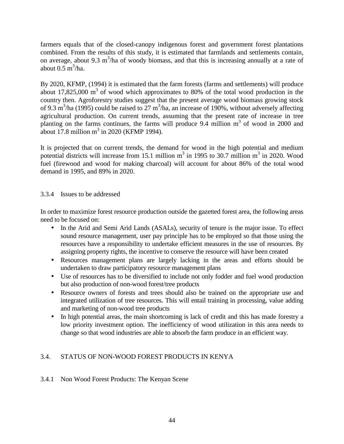farmers equals that of the closed-canopy indigenous forest and government forest plantations combined. From the results of this study, it is estimated that farmlands and settlements contain, on average, about 9.3 m<sup>3</sup>/ha of woody biomass, and that this is increasing annually at a rate of about  $0.5 \text{ m}^3/\text{ha}$ .

By 2020, KFMP, (1994) it is estimated that the farm forests (farms and settlements) will produce about 17,825,000  $\text{m}^3$  of wood which approximates to 80% of the total wood production in the country then. Agroforestry studies suggest that the present average wood biomass growing stock of 9.3 m<sup>3</sup>/ha (1995) could be raised to 27 m<sup>3</sup>/ha, an increase of 190%, without adversely affecting agricultural production. On current trends, assuming that the present rate of increase in tree planting on the farms continues, the farms will produce 9.4 million  $m<sup>3</sup>$  of wood in 2000 and about  $17.8$  million m<sup>3</sup> in 2020 (KFMP 1994).

It is projected that on current trends, the demand for wood in the high potential and medium potential districts will increase from 15.1 million  $m^3$  in 1995 to 30.7 million  $m^3$  in 2020. Wood fuel (firewood and wood for making charcoal) will account for about 86% of the total wood demand in 1995, and 89% in 2020.

# 3.3.4 Issues to be addressed

In order to maximize forest resource production outside the gazetted forest area, the following areas need to be focused on:

- In the Arid and Semi Arid Lands (ASALs), security of tenure is the major issue. To effect sound resource management, user pay principle has to be employed so that those using the resources have a responsibility to undertake efficient measures in the use of resources. By assigning property rights, the incentive to conserve the resource will have been created
- Resources management plans are largely lacking in the areas and efforts should be undertaken to draw participatory resource management plans
- Use of resources has to be diversified to include not only fodder and fuel wood production but also production of non-wood forest/tree products
- Resource owners of forests and trees should also be trained on the appropriate use and integrated utilization of tree resources. This will entail training in processing, value adding and marketing of non-wood tree products
- In high potential areas, the main shortcoming is lack of credit and this has made forestry a low priority investment option. The inefficiency of wood utilization in this area needs to change so that wood industries are able to absorb the farm produce in an efficient way.

# 3.4. STATUS OF NON-WOOD FOREST PRODUCTS IN KENYA

# 3.4.1 Non Wood Forest Products: The Kenyan Scene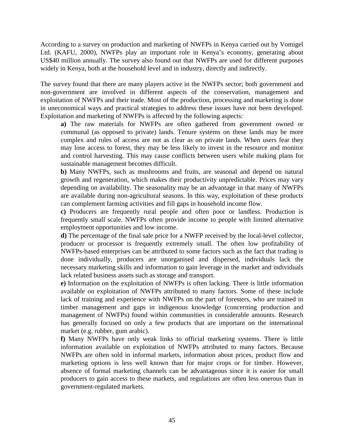According to a survey on production and marketing of NWFPs in Kenya carried out by Vomigel Ltd. (KAFU, 2000), NWFPs play an important role in Kenya's economy, generating about US\$40 million annually. The survey also found out that NWFPs are used for different purposes widely in Kenya, both at the household level and in industry, directly and indirectly.

The survey found that there are many players active in the NWFPs sector; both government and non-government are involved in different aspects of the conservation, management and exploitation of NWFPs and their trade. Most of the production, processing and marketing is done in uneconomical ways and practical strategies to address these issues have not been developed. Exploitation and marketing of NWFPs is affected by the following aspects:

**a)** The raw materials for NWFPs are often gathered from government owned or communal (as opposed to private) lands. Tenure systems on these lands may be more complex and rules of access are not as clear as on private lands. When users fear they may lose access to forest, they may be less likely to invest in the resource and monitor and control harvesting. This may cause conflicts between users while making plans for sustainable management becomes difficult.

**b)** Many NWFPs, such as mushrooms and fruits, are seasonal and depend on natural growth and regeneration, which makes their productivity unpredictable. Prices may vary depending on availability. The seasonality may be an advantage in that many of NWFPs are available during non-agricultural seasons. In this way, exploitation of these products can complement farming activities and fill gaps in household income flow.

**c)** Producers are frequently rural people and often poor or landless. Production is frequently small scale. NWFPs often provide income to people with limited alternative employment opportunities and low income.

**d)** The percentage of the final sale price for a NWFP received by the local-level collector, producer or processor is frequently extremely small. The often low profitability of NWFPs-based enterprises can be attributed to some factors such as the fact that trading is done individually, producers are unorganised and dispersed, individuals lack the necessary marketing skills and information to gain leverage in the market and individuals lack related business assets such as storage and transport.

**e)** Information on the exploitation of NWFPs is often lacking. There is little information available on exploitation of NWFPs attributed to many factors. Some of these include lack of training and experience with NWFPs on the part of foresters, who are trained in timber management and gaps in indigenous knowledge (concerning production and management of NWFPs) found within communities in considerable amounts. Research has generally focused on only a few products that are important on the international market (e.g. rubber, gum arabic).

**f)** Many NWFPs have only weak links to official marketing systems. There is little information available on exploitation of NWFPs attributed to many factors. Because NWFPs are often sold in informal markets, information about prices, product flow and marketing options is less well known than for major crops or for timber. However, absence of formal marketing channels can be advantageous since it is easier for small producers to gain access to these markets, and regulations are often less onerous than in government-regulated markets.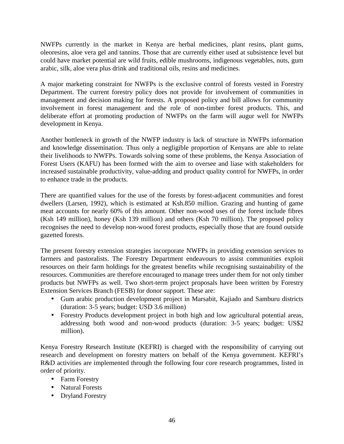NWFPs currently in the market in Kenya are herbal medicines, plant resins, plant gums, oleoresins, aloe vera gel and tannins. Those that are currently either used at subsistence level but could have market potential are wild fruits, edible mushrooms, indigenous vegetables, nuts, gum arabic, silk, aloe vera plus drink and traditional oils, resins and medicines.

A major marketing constraint for NWFPs is the exclusive control of forests vested in Forestry Department. The current forestry policy does not provide for involvement of communities in management and decision making for forests. A proposed policy and bill allows for community involvement in forest management and the role of non-timber forest products. This, and deliberate effort at promoting production of NWFPs on the farm will augur well for NWFPs development in Kenya.

Another bottleneck in growth of the NWFP industry is lack of structure in NWFPs information and knowledge dissemination. Thus only a negligible proportion of Kenyans are able to relate their livelihoods to NWFPs. Towards solving some of these problems, the Kenya Association of Forest Users (KAFU) has been formed with the aim to oversee and liase with stakeholders for increased sustainable productivity, value-adding and product quality control for NWFPs, in order to enhance trade in the products.

There are quantified values for the use of the forests by forest-adjacent communities and forest dwellers (Larsen, 1992), which is estimated at Ksh.850 million. Grazing and hunting of game meat accounts for nearly 60% of this amount. Other non-wood uses of the forest include fibres (Ksh 149 million), honey (Ksh 139 million) and others (Ksh 70 million). The proposed policy recognises the need to develop non-wood forest products, especially those that are found outside gazetted forests.

The present forestry extension strategies incorporate NWFPs in providing extension services to farmers and pastoralists. The Forestry Department endeavours to assist communities exploit resources on their farm holdings for the greatest benefits while recognising sustainability of the resources. Communities are therefore encouraged to manage trees under them for not only timber products but NWFPs as well. Two short-term project proposals have been written by Forestry Extension Services Branch (FESB) for donor support. These are:

- Gum arabic production development project in Marsabit, Kajiado and Samburu districts (duration: 3-5 years; budget: USD 3.6 million)
- Forestry Products development project in both high and low agricultural potential areas, addressing both wood and non-wood products (duration: 3-5 years; budget: US\$2 million).

Kenya Forestry Research Institute (KEFRI) is charged with the responsibility of carrying out research and development on forestry matters on behalf of the Kenya government. KEFRI's R&D activities are implemented through the following four core research programmes, listed in order of priority.

- Farm Forestry
- Natural Forests
- Dryland Forestry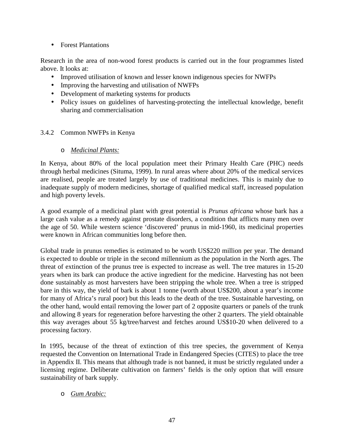• Forest Plantations

Research in the area of non-wood forest products is carried out in the four programmes listed above. It looks at:

- Improved utilisation of known and lesser known indigenous species for NWFPs
- Improving the harvesting and utilisation of NWFPs
- Development of marketing systems for products
- Policy issues on guidelines of harvesting-protecting the intellectual knowledge, benefit sharing and commercialisation

# 3.4.2 Common NWFPs in Kenya

o *Medicinal Plants:*

In Kenya, about 80% of the local population meet their Primary Health Care (PHC) needs through herbal medicines (Situma, 1999). In rural areas where about 20% of the medical services are realised, people are treated largely by use of traditional medicines. This is mainly due to inadequate supply of modern medicines, shortage of qualified medical staff, increased population and high poverty levels.

A good example of a medicinal plant with great potential is *Prunus africana* whose bark has a large cash value as a remedy against prostate disorders, a condition that afflicts many men over the age of 50. While western science 'discovered' prunus in mid-1960, its medicinal properties were known in African communities long before then.

Global trade in prunus remedies is estimated to be worth US\$220 million per year. The demand is expected to double or triple in the second millennium as the population in the North ages. The threat of extinction of the prunus tree is expected to increase as well. The tree matures in 15-20 years when its bark can produce the active ingredient for the medicine. Harvesting has not been done sustainably as most harvesters have been stripping the whole tree. When a tree is stripped bare in this way, the yield of bark is about 1 tonne (worth about US\$200, about a year's income for many of Africa's rural poor) but this leads to the death of the tree. Sustainable harvesting, on the other hand, would entail removing the lower part of 2 opposite quarters or panels of the trunk and allowing 8 years for regeneration before harvesting the other 2 quarters. The yield obtainable this way averages about 55 kg/tree/harvest and fetches around US\$10-20 when delivered to a processing factory.

In 1995, because of the threat of extinction of this tree species, the government of Kenya requested the Convention on International Trade in Endangered Species (CITES) to place the tree in Appendix II. This means that although trade is not banned, it must be strictly regulated under a licensing regime. Deliberate cultivation on farmers' fields is the only option that will ensure sustainability of bark supply.

# o *Gum Arabic:*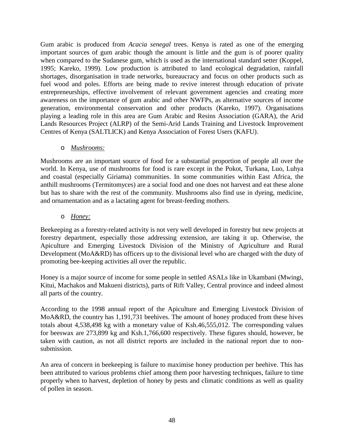Gum arabic is produced from *Acacia senegal* trees. Kenya is rated as one of the emerging important sources of gum arabic though the amount is little and the gum is of poorer quality when compared to the Sudanese gum, which is used as the international standard setter (Koppel, 1995; Kareko, 1999). Low production is attributed to land ecological degradation, rainfall shortages, disorganisation in trade networks, bureaucracy and focus on other products such as fuel wood and poles. Efforts are being made to revive interest through education of private entrepreneurships, effective involvement of relevant government agencies and creating more awareness on the importance of gum arabic and other NWFPs, as alternative sources of income generation, environmental conservation and other products (Kareko, 1997). Organisations playing a leading role in this area are Gum Arabic and Resins Association (GARA), the Arid Lands Resources Project (ALRP) of the Semi-Arid Lands Training and Livestock Improvement Centres of Kenya (SALTLICK) and Kenya Association of Forest Users (KAFU).

# o *Mushrooms:*

Mushrooms are an important source of food for a substantial proportion of people all over the world. In Kenya, use of mushrooms for food is rare except in the Pokot, Turkana, Luo, Luhya and coastal (especially Giriama) communities. In some communities within East Africa, the anthill mushrooms (Termitomyces) are a social food and one does not harvest and eat these alone but has to share with the rest of the community. Mushrooms also find use in dyeing, medicine, and ornamentation and as a lactating agent for breast-feeding mothers.

# o *Honey:*

Beekeeping as a forestry-related activity is not very well developed in forestry but new projects at forestry department, especially those addressing extension, are taking it up. Otherwise, the Apiculture and Emerging Livestock Division of the Ministry of Agriculture and Rural Development (MoA&RD) has officers up to the divisional level who are charged with the duty of promoting bee-keeping activities all over the republic.

Honey is a major source of income for some people in settled ASALs like in Ukambani (Mwingi, Kitui, Machakos and Makueni districts), parts of Rift Valley, Central province and indeed almost all parts of the country.

According to the 1998 annual report of the Apiculture and Emerging Livestock Division of MoA&RD, the country has 1,191,731 beehives. The amount of honey produced from these hives totals about 4,538,498 kg with a monetary value of Ksh.46,555,012. The corresponding values for beeswax are 273,899 kg and Ksh.1,766,600 respectively. These figures should, however, be taken with caution, as not all district reports are included in the national report due to nonsubmission.

An area of concern in beekeeping is failure to maximise honey production per beehive. This has been attributed to various problems chief among them poor harvesting techniques, failure to time properly when to harvest, depletion of honey by pests and climatic conditions as well as quality of pollen in season.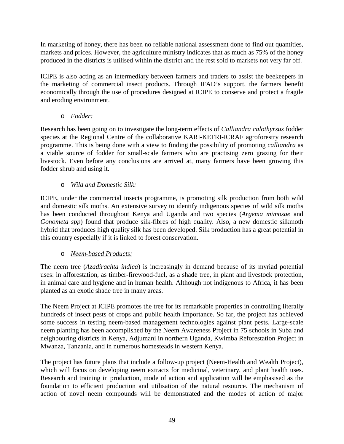In marketing of honey, there has been no reliable national assessment done to find out quantities, markets and prices. However, the agriculture ministry indicates that as much as 75% of the honey produced in the districts is utilised within the district and the rest sold to markets not very far off.

ICIPE is also acting as an intermediary between farmers and traders to assist the beekeepers in the marketing of commercial insect products. Through IFAD's support, the farmers benefit economically through the use of procedures designed at ICIPE to conserve and protect a fragile and eroding environment.

o *Fodder:*

Research has been going on to investigate the long-term effects of *Calliandra calothyrsus* fodder species at the Regional Centre of the collaborative KARI-KEFRI-ICRAF agroforestry research programme. This is being done with a view to finding the possibility of promoting *calliandra* as a viable source of fodder for small-scale farmers who are practising zero grazing for their livestock. Even before any conclusions are arrived at, many farmers have been growing this fodder shrub and using it.

# o *Wild and Domestic Silk:*

ICIPE, under the commercial insects programme, is promoting silk production from both wild and domestic silk moths. An extensive survey to identify indigenous species of wild silk moths has been conducted throughout Kenya and Uganda and two species (*Argema mimosae* and *Gonometa spp*) found that produce silk-fibres of high quality. Also, a new domestic silkmoth hybrid that produces high quality silk has been developed. Silk production has a great potential in this country especially if it is linked to forest conservation.

# o *Neem-based Products:*

The neem tree (*Azadirachta indica*) is increasingly in demand because of its myriad potential uses: in afforestation, as timber-firewood-fuel, as a shade tree, in plant and livestock protection, in animal care and hygiene and in human health. Although not indigenous to Africa, it has been planted as an exotic shade tree in many areas.

The Neem Project at ICIPE promotes the tree for its remarkable properties in controlling literally hundreds of insect pests of crops and public health importance. So far, the project has achieved some success in testing neem-based management technologies against plant pests. Large-scale neem planting has been accomplished by the Neem Awareness Project in 75 schools in Suba and neighbouring districts in Kenya, Adjumani in northern Uganda, Kwimba Reforestation Project in Mwanza, Tanzania, and in numerous homesteads in western Kenya.

The project has future plans that include a follow-up project (Neem-Health and Wealth Project), which will focus on developing neem extracts for medicinal, veterinary, and plant health uses. Research and training in production, mode of action and application will be emphasised as the foundation to efficient production and utilisation of the natural resource. The mechanism of action of novel neem compounds will be demonstrated and the modes of action of major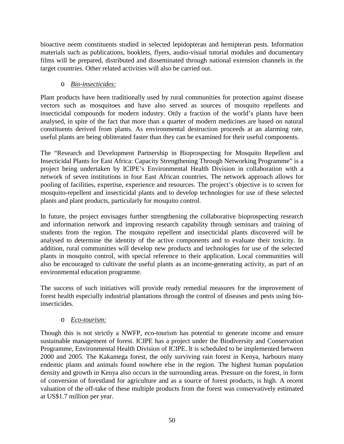bioactive neem constituents studied in selected lepidopteran and hemipteran pests. Information materials such as publications, booklets, flyers, audio-visual tutorial modules and documentary films will be prepared, distributed and disseminated through national extension channels in the target countries. Other related activities will also be carried out.

# o *Bio-insecticides:*

Plant products have been traditionally used by rural communities for protection against disease vectors such as mosquitoes and have also served as sources of mosquito repellents and insecticidal compounds for modern industry. Only a fraction of the world's plants have been analysed, in spite of the fact that more than a quarter of modern medicines are based on natural constituents derived from plants. As environmental destruction proceeds at an alarming rate, useful plants are being obliterated faster than they can be examined for their useful components.

The "Research and Development Partnership in Bioprospecting for Mosquito Repellent and Insecticidal Plants for East Africa: Capacity Strengthening Through Networking Programme" is a project being undertaken by ICIPE's Environmental Health Division in collaboration with a network of seven institutions in four East African countries. The network approach allows for pooling of facilities, expertise, experience and resources. The project's objective is to screen for mosquito-repellent and insecticidal plants and to develop technologies for use of these selected plants and plant products, particularly for mosquito control.

In future, the project envisages further strengthening the collaborative bioprospecting research and information network and improving research capability through seminars and training of students from the region. The mosquito repellent and insecticidal plants discovered will be analysed to determine the identity of the active components and to evaluate their toxicity. In addition, rural communities will develop new products and technologies for use of the selected plants in mosquito control, with special reference to their application. Local communities will also be encouraged to cultivate the useful plants as an income-generating activity, as part of an environmental education programme.

The success of such initiatives will provide ready remedial measures for the improvement of forest health especially industrial plantations through the control of diseases and pests using bioinsecticides.

# o *Eco-tourism:*

Though this is not strictly a NWFP, eco-tourism has potential to generate income and ensure sustainable management of forest. ICIPE has a project under the Biodiversity and Conservation Programme, Environmental Health Division of ICIPE. It is scheduled to be implemented between 2000 and 2005. The Kakamega forest, the only surviving rain forest in Kenya, harbours many endemic plants and animals found nowhere else in the region. The highest human population density and growth in Kenya also occurs in the surrounding areas. Pressure on the forest, in form of conversion of forestland for agriculture and as a source of forest products, is high. A recent valuation of the off-take of these multiple products from the forest was conservatively estimated at US\$1.7 million per year.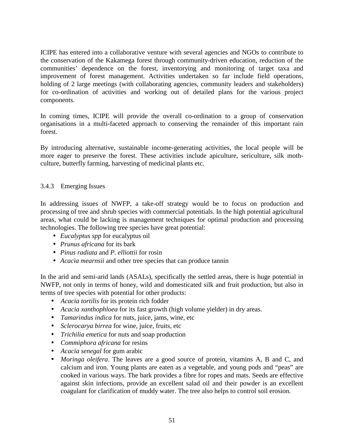ICIPE has entered into a collaborative venture with several agencies and NGOs to contribute to the conservation of the Kakamega forest through community-driven education, reduction of the communities' dependence on the forest, inventorying and monitoring of target taxa and improvement of forest management. Activities undertaken so far include field operations, holding of 2 large meetings (with collaborating agencies, community leaders and stakeholders) for co-ordination of activities and working out of detailed plans for the various project components.

In coming times, ICIPE will provide the overall co-ordination to a group of conservation organisations in a multi-faceted approach to conserving the remainder of this important rain forest.

By introducing alternative, sustainable income-generating activities, the local people will be more eager to preserve the forest. These activities include apiculture, sericulture, silk mothculture, butterfly farming, harvesting of medicinal plants etc.

# 3.4.3 Emerging Issues

In addressing issues of NWFP, a take-off strategy would be to focus on production and processing of tree and shrub species with commercial potentials. In the high potential agricultural areas, what could be lacking is management techniques for optimal production and processing technologies. The following tree species have great potential:

- *Eucalyptus spp* for eucalyptus oil
- *Prunus africana* for its bark
- *Pinus radiata* and *P. elliottii* for rosin
- *Acacia mearnsii* and other tree species that can produce tannin

In the arid and semi-arid lands (ASALs), specifically the settled areas, there is huge potential in NWFP, not only in terms of honey, wild and domesticated silk and fruit production, but also in terms of tree species with potential for other products:

- *Acacia tortilis* for its protein rich fodder
- *Acacia xanthophloea* for its fast growth (high volume yielder) in dry areas.
- *Tamarindus indica* for nuts, juice, jams, wine, etc
- *Sclerocarya birrea* for wine, juice, fruits, etc
- *Trichilia emetica* for nuts and soap production
- *Commiphora africana* for resins
- *Acacia senegal* for gum arabic
- *Moringa oleifera*. The leaves are a good source of protein, vitamins A, B and C, and calcium and iron. Young plants are eaten as a vegetable, and young pods and "peas" are cooked in various ways. The bark provides a fibre for ropes and mats. Seeds are effective against skin infections, provide an excellent salad oil and their powder is an excellent coagulant for clarification of muddy water. The tree also helps to control soil erosion.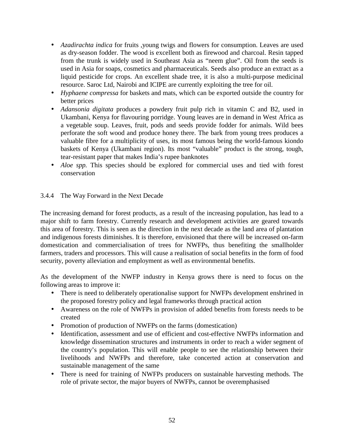- *Azadirachta indica* for fruits ,young twigs and flowers for consumption. Leaves are used as dry-season fodder. The wood is excellent both as firewood and charcoal. Resin tapped from the trunk is widely used in Southeast Asia as "neem glue". Oil from the seeds is used in Asia for soaps, cosmetics and pharmaceuticals. Seeds also produce an extract as a liquid pesticide for crops. An excellent shade tree, it is also a multi-purpose medicinal resource. Saroc Ltd, Nairobi and ICIPE are currently exploiting the tree for oil.
- *Hyphaene compressa* for baskets and mats, which can be exported outside the country for better prices
- *Adansonia digitata* produces a powdery fruit pulp rich in vitamin C and B2, used in Ukambani, Kenya for flavouring porridge. Young leaves are in demand in West Africa as a vegetable soup. Leaves, fruit, pods and seeds provide fodder for animals. Wild bees perforate the soft wood and produce honey there. The bark from young trees produces a valuable fibre for a multiplicity of uses, its most famous being the world-famous kiondo baskets of Kenya (Ukambani region). Its most "valuable" product is the strong, tough, tear-resistant paper that makes India's rupee banknotes
- *Aloe spp.* This species should be explored for commercial uses and tied with forest conservation

# 3.4.4 The Way Forward in the Next Decade

The increasing demand for forest products, as a result of the increasing population, has lead to a major shift to farm forestry. Currently research and development activities are geared towards this area of forestry. This is seen as the direction in the next decade as the land area of plantation and indigenous forests diminishes. It is therefore, envisioned that there will be increased on-farm domestication and commercialisation of trees for NWFPs, thus benefiting the smallholder farmers, traders and processors. This will cause a realisation of social benefits in the form of food security, poverty alleviation and employment as well as environmental benefits.

As the development of the NWFP industry in Kenya grows there is need to focus on the following areas to improve it:

- There is need to deliberately operationalise support for NWFPs development enshrined in the proposed forestry policy and legal frameworks through practical action
- Awareness on the role of NWFPs in provision of added benefits from forests needs to be created
- Promotion of production of NWFPs on the farms (domestication)
- Identification, assessment and use of efficient and cost-effective NWFPs information and knowledge dissemination structures and instruments in order to reach a wider segment of the country's population. This will enable people to see the relationship between their livelihoods and NWFPs and therefore, take concerted action at conservation and sustainable management of the same
- There is need for training of NWFPs producers on sustainable harvesting methods. The role of private sector, the major buyers of NWFPs, cannot be overemphasised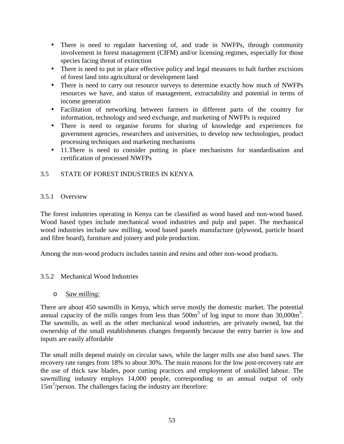- There is need to regulate harvesting of, and trade in NWFPs, through community involvement in forest management (CIFM) and/or licensing regimes, especially for those species facing threat of extinction
- There is need to put in place effective policy and legal measures to halt further excisions of forest land into agricultural or development land
- There is need to carry out resource surveys to determine exactly how much of NWFPs resources we have, and status of management, extractability and potential in terms of income generation
- Facilitation of networking between farmers in different parts of the country for information, technology and seed exchange, and marketing of NWFPs is required
- There is need to organise forums for sharing of knowledge and experiences for government agencies, researchers and universities, to develop new technologies, product processing techniques and marketing mechanisms
- 11.There is need to consider putting in place mechanisms for standardisation and certification of processed NWFPs

# 3.5 STATE OF FOREST INDUSTRIES IN KENYA

# 3.5.1 Overview

The forest industries operating in Kenya can be classified as wood based and non-wood based. Wood based types include mechanical wood industries and pulp and paper. The mechanical wood industries include saw milling, wood based panels manufacture (plywood, particle board and fibre board), furniture and joinery and pole production.

Among the non-wood products includes tannin and resins and other non-wood products.

# 3.5.2 Mechanical Wood Industries

o *Saw milling:*

There are about 450 sawmills in Kenya, which serve mostly the domestic market. The potential annual capacity of the mills ranges from less than  $500m<sup>3</sup>$  of log input to more than  $30,000m<sup>3</sup>$ . The sawmills, as well as the other mechanical wood industries, are privately owned, but the ownership of the small establishments changes frequently because the entry barrier is low and inputs are easily affordable

The small mills depend mainly on circular saws, while the larger mills use also band saws. The recovery rate ranges from 18% to about 30%. The main reasons for the low post-recovery rate are the use of thick saw blades, poor cutting practices and employment of unskilled labour. The sawmilling industry employs 14,000 people, corresponding to an annual output of only 15m<sup>3</sup> /person. The challenges facing the industry are therefore: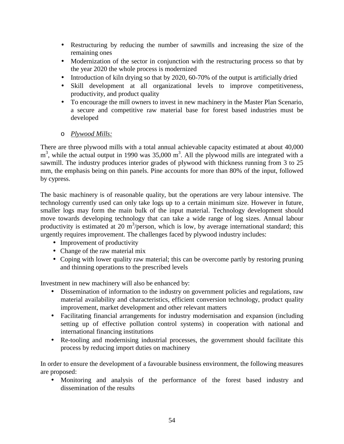- Restructuring by reducing the number of sawmills and increasing the size of the remaining ones
- Modernization of the sector in conjunction with the restructuring process so that by the year 2020 the whole process is modernized
- Introduction of kiln drying so that by 2020, 60-70% of the output is artificially dried
- Skill development at all organizational levels to improve competitiveness, productivity, and product quality
- To encourage the mill owners to invest in new machinery in the Master Plan Scenario, a secure and competitive raw material base for forest based industries must be developed
- o *Plywood Mills:*

There are three plywood mills with a total annual achievable capacity estimated at about 40,000  $m<sup>3</sup>$ , while the actual output in 1990 was 35,000 m<sup>3</sup>. All the plywood mills are integrated with a sawmill. The industry produces interior grades of plywood with thickness running from 3 to 25 mm, the emphasis being on thin panels. Pine accounts for more than 80% of the input, followed by cypress.

The basic machinery is of reasonable quality, but the operations are very labour intensive. The technology currently used can only take logs up to a certain minimum size. However in future, smaller logs may form the main bulk of the input material. Technology development should move towards developing technology that can take a wide range of log sizes. Annual labour productivity is estimated at 20  $m^3$ /person, which is low, by average international standard; this urgently requires improvement. The challenges faced by plywood industry includes:

- Improvement of productivity
- Change of the raw material mix
- Coping with lower quality raw material; this can be overcome partly by restoring pruning and thinning operations to the prescribed levels

Investment in new machinery will also be enhanced by:

- Dissemination of information to the industry on government policies and regulations, raw material availability and characteristics, efficient conversion technology, product quality improvement, market development and other relevant matters
- Facilitating financial arrangements for industry modernisation and expansion (including setting up of effective pollution control systems) in cooperation with national and international financing institutions
- Re-tooling and modernising industrial processes, the government should facilitate this process by reducing import duties on machinery

In order to ensure the development of a favourable business environment, the following measures are proposed:

• Monitoring and analysis of the performance of the forest based industry and dissemination of the results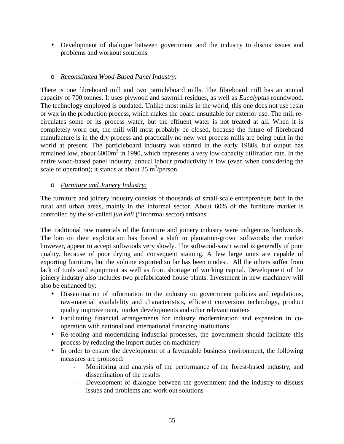• Development of dialogue between government and the industry to discus issues and problems and workout solutions

# o *Reconstituted Wood-Based Panel Industry:*

There is one fibreboard mill and two particleboard mills. The fibreboard mill has an annual capacity of 700 tonnes. It uses plywood and sawmill residues, as well as *Eucalyptus* roundwood. The technology employed is outdated. Unlike most mills in the world, this one does not use resin or wax in the production process, which makes the board unsuitable for exterior use. The mill recirculates some of its process water, but the effluent water is not treated at all. When it is completely worn out, the mill will most probably be closed, because the future of fibreboard manufacture is in the dry process and practically no new wet process mills are being built in the world at present. The particleboard industry was started in the early 1980s, but output has remained low, about  $6000m<sup>3</sup>$  in 1990, which represents a very low capacity utilization rate. In the entire wood-based panel industry, annual labour productivity is low (even when considering the scale of operation); it stands at about 25 m<sup>3</sup>/person.

# o *Furniture and Joinery Industry:*

The furniture and joinery industry consists of thousands of small-scale entrepreneurs both in the rural and urban areas, mainly in the informal sector. About 60% of the furniture market is controlled by the so-called *jua kali* ("informal sector) artisans.

The traditional raw materials of the furniture and joinery industry were indigenous hardwoods. The ban on their exploitation has forced a shift to plantation-grown softwoods; the market however, appear to accept softwoods very slowly. The softwood-sawn wood is generally of poor quality, because of poor drying and consequent staining. A few large units are capable of exporting furniture, but the volume exported so far has been modest. All the others suffer from lack of tools and equipment as well as from shortage of working capital. Development of the joinery industry also includes two prefabricated house plants. Investment in new machinery will also be enhanced by:

- Dissemination of information to the industry on government policies and regulations, raw-material availability and characteristics, efficient conversion technology, product quality improvement, market developments and other relevant matters
- Facilitating financial arrangements for industry modernization and expansion in cooperation with national and international financing institutions
- Re-tooling and modernizing industrial processes, the government should facilitate this process by reducing the import duties on machinery
- In order to ensure the development of a favourable business environment, the following measures are proposed:
	- Monitoring and analysis of the performance of the forest-based industry, and dissemination of the results
	- Development of dialogue between the government and the industry to discuss issues and problems and work out solutions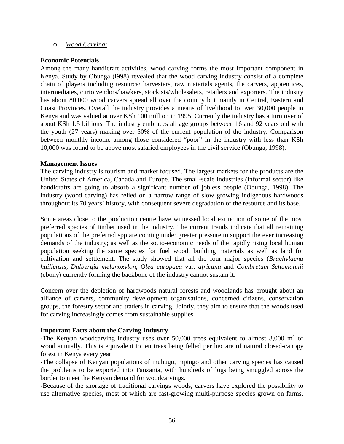#### o *Wood Carving:*

#### **Economic Potentials**

Among the many handicraft activities, wood carving forms the most important component in Kenya. Study by Obunga (l998) revealed that the wood carving industry consist of a complete chain of players including resource/ harvesters, raw materials agents, the carvers, apprentices, intermediates, curio vendors/hawkers, stockists/wholesalers, retailers and exporters. The industry has about 80,000 wood carvers spread all over the country but mainly in Central, Eastern and Coast Provinces. Overall the industry provides a means of livelihood to over 30,000 people in Kenya and was valued at over KSh 100 million in 1995. Currently the industry has a turn over of about KSh 1.5 billions. The industry embraces all age groups between 16 and 92 years old with the youth (27 years) making over 50% of the current population of the industry. Comparison between monthly income among those considered "poor" in the industry with less than KSh 10,000 was found to be above most salaried employees in the civil service (Obunga, 1998).

#### **Management Issues**

The carving industry is tourism and market focused. The largest markets for the products are the United States of America, Canada and Europe. The small-scale industries (informal sector) like handicrafts are going to absorb a significant number of jobless people (Obunga, 1998). The industry (wood carving) has relied on a narrow range of slow growing indigenous hardwoods throughout its 70 years' history, with consequent severe degradation of the resource and its base.

Some areas close to the production centre have witnessed local extinction of some of the most preferred species of timber used in the industry. The current trends indicate that all remaining populations of the preferred spp are coming under greater pressure to support the ever increasing demands of the industry; as well as the socio-economic needs of the rapidly rising local human population seeking the same species for fuel wood, building materials as well as land for cultivation and settlement. The study showed that all the four major species (*Brachylaena huillensis, Dalbergia melanoxylon, Olea europaea* var. *africana* and *Combretum Schumannii* (ebony) currently forming the backbone of the industry cannot sustain it.

Concern over the depletion of hardwoods natural forests and woodlands has brought about an alliance of carvers, community development organisations, concerned citizens, conservation groups, the forestry sector and traders in carving. Jointly, they aim to ensure that the woods used for carving increasingly comes from sustainable supplies

#### **Important Facts about the Carving Industry**

-The Kenyan woodcarving industry uses over 50,000 trees equivalent to almost 8,000  $m<sup>3</sup>$  of wood annually. This is equivalent to ten trees being felled per hectare of natural closed-canopy forest in Kenya every year.

-The collapse of Kenyan populations of muhugu, mpingo and other carving species has caused the problems to be exported into Tanzania, with hundreds of logs being smuggled across the border to meet the Kenyan demand for woodcarvings.

-Because of the shortage of traditional carvings woods, carvers have explored the possibility to use alternative species, most of which are fast-growing multi-purpose species grown on farms.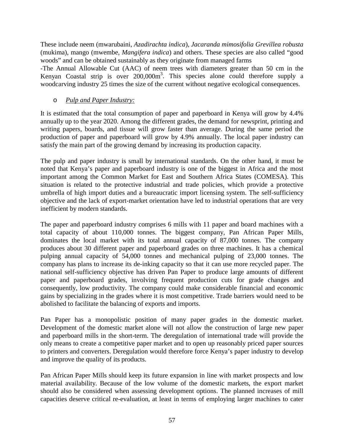These include neem (mwarubaini, *Azadirachta indica*), *Jacaranda mimosifolia Grevillea robusta* (mukima), mango (mwembe, *Mangifera indica*) and others. These species are also called "good woods" and can be obtained sustainably as they originate from managed farms

-The Annual Allowable Cut (AAC) of neem trees with diameters greater than 50 cm in the Kenyan Coastal strip is over  $200,000m^3$ . This species alone could therefore supply a woodcarving industry 25 times the size of the current without negative ecological consequences.

# o *Pulp and Paper Industry:*

It is estimated that the total consumption of paper and paperboard in Kenya will grow by 4.4% annually up to the year 2020. Among the different grades, the demand for newsprint, printing and writing papers, boards, and tissue will grow faster than average. During the same period the production of paper and paperboard will grow by 4.9% annually. The local paper industry can satisfy the main part of the growing demand by increasing its production capacity.

The pulp and paper industry is small by international standards. On the other hand, it must be noted that Kenya's paper and paperboard industry is one of the biggest in Africa and the most important among the Common Market for East and Southern Africa States (COMESA). This situation is related to the protective industrial and trade policies, which provide a protective umbrella of high import duties and a bureaucratic import licensing system. The self-sufficiency objective and the lack of export-market orientation have led to industrial operations that are very inefficient by modern standards.

The paper and paperboard industry comprises 6 mills with 11 paper and board machines with a total capacity of about 110,000 tonnes. The biggest company, Pan African Paper Mills, dominates the local market with its total annual capacity of 87,000 tonnes. The company produces about 30 different paper and paperboard grades on three machines. It has a chemical pulping annual capacity of 54,000 tonnes and mechanical pulping of 23,000 tonnes. The company has plans to increase its de-inking capacity so that it can use more recycled paper. The national self-sufficiency objective has driven Pan Paper to produce large amounts of different paper and paperboard grades, involving frequent production cuts for grade changes and consequently, low productivity. The company could make considerable financial and economic gains by specializing in the grades where it is most competitive. Trade barriers would need to be abolished to facilitate the balancing of exports and imports.

Pan Paper has a monopolistic position of many paper grades in the domestic market. Development of the domestic market alone will not allow the construction of large new paper and paperboard mills in the short-term. The deregulation of international trade will provide the only means to create a competitive paper market and to open up reasonably priced paper sources to printers and converters. Deregulation would therefore force Kenya's paper industry to develop and improve the quality of its products.

Pan African Paper Mills should keep its future expansion in line with market prospects and low material availability. Because of the low volume of the domestic markets, the export market should also be considered when assessing development options. The planned increases of mill capacities deserve critical re-evaluation, at least in terms of employing larger machines to cater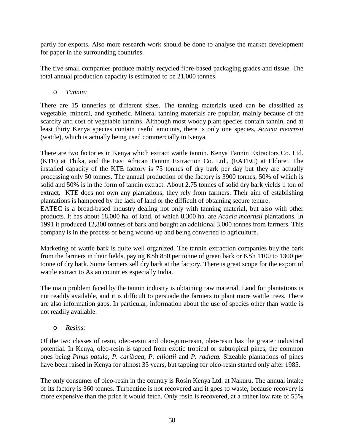partly for exports. Also more research work should be done to analyse the market development for paper in the surrounding countries.

The five small companies produce mainly recycled fibre-based packaging grades and tissue. The total annual production capacity is estimated to be 21,000 tonnes.

# o *Tannin:*

There are 15 tanneries of different sizes. The tanning materials used can be classified as vegetable, mineral, and synthetic. Mineral tanning materials are popular, mainly because of the scarcity and cost of vegetable tannins. Although most woody plant species contain tannin, and at least thirty Kenya species contain useful amounts, there is only one species, *Acacia mearnsii* (wattle), which is actually being used commercially in Kenya.

There are two factories in Kenya which extract wattle tannin. Kenya Tannin Extractors Co. Ltd. (KTE) at Thika, and the East African Tannin Extraction Co. Ltd., (EATEC) at Eldoret. The installed capacity of the KTE factory is 75 tonnes of dry bark per day but they are actually processing only 50 tonnes. The annual production of the factory is 3900 tonnes, 50% of which is solid and 50% is in the form of tannin extract. About 2.75 tonnes of solid dry bark yields 1 ton of extract. KTE does not own any plantations; they rely from farmers. Their aim of establishing plantations is hampered by the lack of land or the difficult of obtaining secure tenure.

EATEC is a broad-based industry dealing not only with tanning material, but also with other products. It has about 18,000 ha. of land, of which 8,300 ha. are *Acacia mearnsii* plantations. In 1991 it produced 12,800 tonnes of bark and bought an additional 3,000 tonnes from farmers. This company is in the process of being wound-up and being converted to agriculture.

Marketing of wattle bark is quite well organized. The tannin extraction companies buy the bark from the farmers in their fields, paying KSh 850 per tonne of green bark or KSh 1100 to 1300 per tonne of dry bark. Some farmers sell dry bark at the factory. There is great scope for the export of wattle extract to Asian countries especially India.

The main problem faced by the tannin industry is obtaining raw material. Land for plantations is not readily available, and it is difficult to persuade the farmers to plant more wattle trees. There are also information gaps. In particular, information about the use of species other than wattle is not readily available.

o *Resins:*

Of the two classes of resin, oleo-resin and oleo-gum-resin, oleo-resin has the greater industrial potential. In Kenya, oleo-resin is tapped from exotic tropical or subtropical pines, the common ones being *Pinus patula, P. caribaea, P. elliottii* and *P. radiata.* Sizeable plantations of pines have been raised in Kenya for almost 35 years, but tapping for oleo-resin started only after 1985.

The only consumer of oleo-resin in the country is Rosin Kenya Ltd. at Nakuru. The annual intake of its factory is 360 tonnes. Turpentine is not recovered and it goes to waste, because recovery is more expensive than the price it would fetch. Only rosin is recovered, at a rather low rate of 55%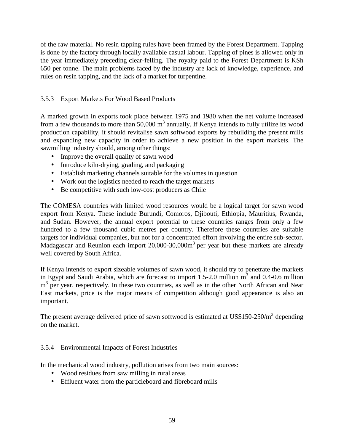of the raw material. No resin tapping rules have been framed by the Forest Department. Tapping is done by the factory through locally available casual labour. Tapping of pines is allowed only in the year immediately preceding clear-felling. The royalty paid to the Forest Department is KSh 650 per tonne. The main problems faced by the industry are lack of knowledge, experience, and rules on resin tapping, and the lack of a market for turpentine.

# 3.5.3 Export Markets For Wood Based Products

A marked growth in exports took place between 1975 and 1980 when the net volume increased from a few thousands to more than  $50,000 \text{ m}^3$  annually. If Kenya intends to fully utilize its wood production capability, it should revitalise sawn softwood exports by rebuilding the present mills and expanding new capacity in order to achieve a new position in the export markets. The sawmilling industry should, among other things:

- Improve the overall quality of sawn wood
- Introduce kiln-drying, grading, and packaging
- Establish marketing channels suitable for the volumes in question
- Work out the logistics needed to reach the target markets
- Be competitive with such low-cost producers as Chile

The COMESA countries with limited wood resources would be a logical target for sawn wood export from Kenya. These include Burundi, Comoros, Djibouti, Ethiopia, Mauritius, Rwanda, and Sudan. However, the annual export potential to these countries ranges from only a few hundred to a few thousand cubic metres per country. Therefore these countries are suitable targets for individual companies, but not for a concentrated effort involving the entire sub-sector. Madagascar and Reunion each import  $20,000-30,000m<sup>3</sup>$  per year but these markets are already well covered by South Africa.

If Kenya intends to export sizeable volumes of sawn wood, it should try to penetrate the markets in Egypt and Saudi Arabia, which are forecast to import 1.5-2.0 million  $m<sup>3</sup>$  and 0.4-0.6 million m<sup>3</sup> per year, respectively. In these two countries, as well as in the other North African and Near East markets, price is the major means of competition although good appearance is also an important.

The present average delivered price of sawn softwood is estimated at US\$150-250/ $m<sup>3</sup>$  depending on the market.

# 3.5.4 Environmental Impacts of Forest Industries

In the mechanical wood industry, pollution arises from two main sources:

- Wood residues from saw milling in rural areas
- Effluent water from the particleboard and fibreboard mills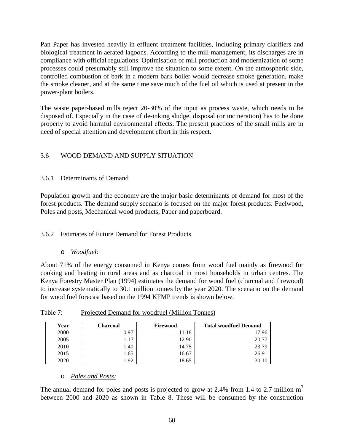Pan Paper has invested heavily in effluent treatment facilities, including primary clarifiers and biological treatment in aerated lagoons. According to the mill management, its discharges are in compliance with official regulations. Optimisation of mill production and modernization of some processes could presumably still improve the situation to some extent. On the atmospheric side, controlled combustion of bark in a modern bark boiler would decrease smoke generation, make the smoke cleaner, and at the same time save much of the fuel oil which is used at present in the power-plant boilers.

The waste paper-based mills reject 20-30% of the input as process waste, which needs to be disposed of. Especially in the case of de-inking sludge, disposal (or incineration) has to be done properly to avoid harmful environmental effects. The present practices of the small mills are in need of special attention and development effort in this respect.

# 3.6 WOOD DEMAND AND SUPPLY SITUATION

# 3.6.1 Determinants of Demand

Population growth and the economy are the major basic determinants of demand for most of the forest products. The demand supply scenario is focused on the major forest products: Fuelwood, Poles and posts, Mechanical wood products, Paper and paperboard.

# 3.6.2 Estimates of Future Demand for Forest Products

# o *Woodfuel:*

About 71% of the energy consumed in Kenya comes from wood fuel mainly as firewood for cooking and heating in rural areas and as charcoal in most households in urban centres. The Kenya Forestry Master Plan (1994) estimates the demand for wood fuel (charcoal and firewood) to increase systematically to 30.1 million tonnes by the year 2020. The scenario on the demand for wood fuel forecast based on the 1994 KFMP trends is shown below.

| Year | Charcoal | Firewood | <b>Total woodfuel Demand</b> |
|------|----------|----------|------------------------------|
| 2000 | 0.97     | 11.18    | 17.96                        |
| 2005 | 1.17     | 12.90    | 20.77                        |
| 2010 | 1.40     | 14.75    | 23.79                        |
| 2015 | 1.65     | 16.67    | 26.91                        |
| 2020 | 1.92     | 18.65    | 30.10                        |

Table 7: Projected Demand for woodfuel (Million Tonnes)

# o *Poles and Posts:*

The annual demand for poles and posts is projected to grow at 2.4% from 1.4 to 2.7 million  $m<sup>3</sup>$ between 2000 and 2020 as shown in Table 8. These will be consumed by the construction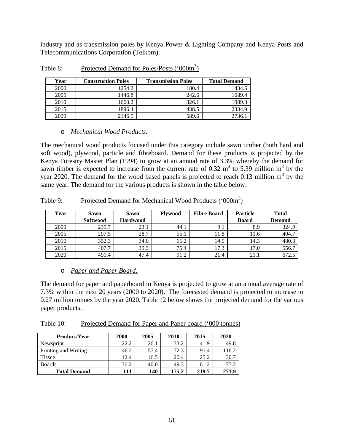industry and as transmission poles by Kenya Power & Lighting Company and Kenya Posts and Telecommunications Corporation (Telkom).

| Year | <b>Construction Poles</b> | <b>Transmission Poles</b> | <b>Total Demand</b> |
|------|---------------------------|---------------------------|---------------------|
| 2000 | 1254.2                    | 180.4                     | 1434.6              |
| 2005 | 1446.8                    | 242.6                     | 1689.4              |
| 2010 | 1663.2                    | 326.1                     | 1989.3              |
| 2015 | 1896.4                    | 438.5                     | 2334.9              |
| 2020 | 2146.5                    | 589.6                     | 2736.1              |

Table 8: Projected Demand for Poles/Posts ('000m<sup>3</sup>)

#### o *Mechanical Wood Products:*

The mechanical wood products focused under this category include sawn timber (both hard and soft wood), plywood, particle and fibreboard. Demand for these products is projected by the Kenya Forestry Master Plan (1994) to grow at an annual rate of 3.3% whereby the demand for sawn timber is expected to increase from the current rate of 0.32  $m<sup>3</sup>$  to 5.39 million  $m<sup>3</sup>$  by the year 2020. The demand for the wood based panels is projected to reach 0.13 million  $m<sup>3</sup>$  by the same year. The demand for the various products is shown in the table below:

| .<br>Tropocou D'emanu foi hieemanical (1990 Frouaeto)<br>$\sim$ $\sim$ $\sim$ $\sim$ $\sim$ |                                |                                |                |                    |                                 |                               |  |  |
|---------------------------------------------------------------------------------------------|--------------------------------|--------------------------------|----------------|--------------------|---------------------------------|-------------------------------|--|--|
| Year                                                                                        | <b>Sawn</b><br><b>Softwood</b> | <b>Sawn</b><br><b>Hardwood</b> | <b>Plywood</b> | <b>Fibre Board</b> | <b>Particle</b><br><b>Board</b> | <b>Total</b><br><b>Demand</b> |  |  |
| 2000                                                                                        | 239.7                          | 23.1                           | 44.1           | 9.1                | 8.9                             | 324.9                         |  |  |
| 2005                                                                                        | 297.5                          | 28.7                           | 55.1           | 11.8               | 11.6                            | 404.7                         |  |  |
| 2010                                                                                        | 352.3                          | 34.0                           | 65.2           | 14.5               | 14.3                            | 480.3                         |  |  |
| 2015                                                                                        | 407.7                          | 39.3                           | 75.4           | 17.3               | 17.0                            | 556.7                         |  |  |

Table 9: Projected Demand for Mechanical Wood Products ('000m<sup>3</sup>)

# o *Paper and Paper Board:*

The demand for paper and paperboard in Kenya is projected to grow at an annual average rate of 7.3% within the next 20 years (2000 to 2020). The forecasted demand is projected to increase to 0.27 million tonnes by the year 2020. Table 12 below shows the projected demand for the various paper products.

2020 491.4 47.4 91.2 21.4 21.1 672.5

Table 10: Projected Demand for Paper and Paper board ('000 tonnes)

| Product/Year         | <b>2000</b> | 2005 | 2010  | 2015  | 2020  |
|----------------------|-------------|------|-------|-------|-------|
| Newsprint            | 22.2        | 26.1 | 33.2  | 41.9  | 49.8  |
| Printing and Writing | 46.2        | 57.4 | 72.3  | 91.4  | 116.2 |
| Tissue               | 12.4        | 16.5 | 20.4  | 25.2  | 30.7  |
| <b>Boards</b>        | 30.2        | 40.0 | 49.3  | 61.2  | 77.2  |
| <b>Total Demand</b>  | 111         | 140  | 175.2 | 219.7 | 273.9 |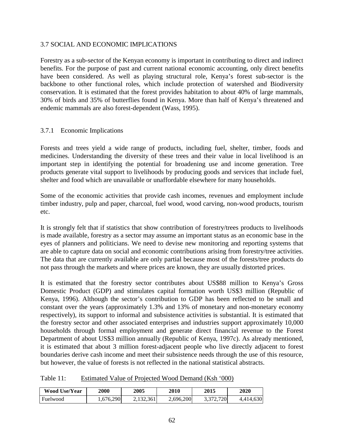#### 3.7 SOCIAL AND ECONOMIC IMPLICATIONS

Forestry as a sub-sector of the Kenyan economy is important in contributing to direct and indirect benefits. For the purpose of past and current national economic accounting, only direct benefits have been considered. As well as playing structural role, Kenya's forest sub-sector is the backbone to other functional roles, which include protection of watershed and Biodiversity conservation. It is estimated that the forest provides habitation to about 40% of large mammals, 30% of birds and 35% of butterflies found in Kenya. More than half of Kenya's threatened and endemic mammals are also forest-dependent (Wass, 1995).

#### 3.7.1 Economic Implications

Forests and trees yield a wide range of products, including fuel, shelter, timber, foods and medicines. Understanding the diversity of these trees and their value in local livelihood is an important step in identifying the potential for broadening use and income generation. Tree products generate vital support to livelihoods by producing goods and services that include fuel, shelter and food which are unavailable or unaffordable elsewhere for many households.

Some of the economic activities that provide cash incomes, revenues and employment include timber industry, pulp and paper, charcoal, fuel wood, wood carving, non-wood products, tourism etc.

It is strongly felt that if statistics that show contribution of forestry/trees products to livelihoods is made available, forestry as a sector may assume an important status as an economic base in the eyes of planners and politicians. We need to devise new monitoring and reporting systems that are able to capture data on social and economic contributions arising from forestry/tree activities. The data that are currently available are only partial because most of the forests/tree products do not pass through the markets and where prices are known, they are usually distorted prices.

It is estimated that the forestry sector contributes about US\$88 million to Kenya's Gross Domestic Product (GDP) and stimulates capital formation worth US\$3 million (Republic of Kenya, 1996). Although the sector's contribution to GDP has been reflected to be small and constant over the years (approximately 1.3% and 13% of monetary and non-monetary economy respectively), its support to informal and subsistence activities is substantial. It is estimated that the forestry sector and other associated enterprises and industries support approximately 10,000 households through formal employment and generate direct financial revenue to the Forest Department of about US\$3 million annually (Republic of Kenya, 1997c). As already mentioned, it is estimated that about 3 million forest-adjacent people who live directly adjacent to forest boundaries derive cash income and meet their subsistence needs through the use of this resource, but however, the value of forests is not reflected in the national statistical abstracts.

| Table 11:<br>Estimated Value of Projected Wood Demand (Ksh '000) |
|------------------------------------------------------------------|
|------------------------------------------------------------------|

| <b>Wood Use/Year</b> | <b>2000</b> | 2005      | <b>2010</b> | 2015            | 2020      |
|----------------------|-------------|-----------|-------------|-----------------|-----------|
| Fuelwood             | 1,676,290   | 2.132.361 | 2,696,200   | .720<br>3.372.7 | 4.414.630 |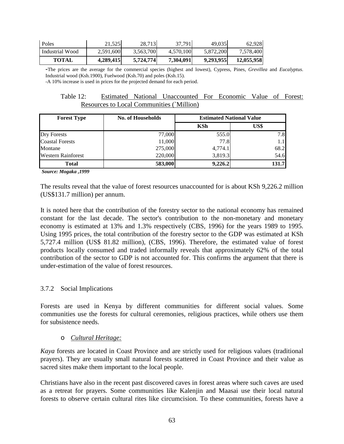| Poles           | 21.525    | 28.713    | 37.791    | 49,035    | 62,928     |
|-----------------|-----------|-----------|-----------|-----------|------------|
| Industrial Wood | 2,591,600 | 3,563,700 | 4,570,100 | 5,872,200 | 7,578,400  |
| TOTAL           | 4,289,415 | 5,724,774 | 7,304,091 | 9,293,955 | 12,055,958 |

**-**The prices are the average for the commercial species (highest and lowest), Cypress, Pines, *Grevillea* and *Eucalyptus*. Industrial wood (Ksh.1900), Fuelwood (Ksh.70) and poles (Ksh.15).

-A 10% increase is used in prices for the projected demand for each period.

Table 12: Estimated National Unaccounted For Economic Value of Forest: Resources to Local Communities (`Million)

| <b>Forest Type</b>        | <b>No. of Households</b> | <b>Estimated National Value</b> |                 |  |
|---------------------------|--------------------------|---------------------------------|-----------------|--|
|                           |                          | <b>KSh</b>                      | US\$            |  |
| <b>Dry Forests</b>        | 77,000                   | 555.0                           | 7.8             |  |
| <b>Coastal Forests</b>    | 11,000                   | 77.8                            | $1.1\mathsf{I}$ |  |
| Montane                   | 275,000                  | 4,774.1                         | 68.2            |  |
| <b>Western Rainforest</b> | 220,000                  | 3,819.3                         | 54.6            |  |
| <b>Total</b>              | 583,000                  | 9,226.2                         | 131.7           |  |

 *Source: Mogaka ,1999*

The results reveal that the value of forest resources unaccounted for is about KSh 9,226.2 million (US\$131.7 million) per annum.

It is noted here that the contribution of the forestry sector to the national economy has remained constant for the last decade. The sector's contribution to the non-monetary and monetary economy is estimated at 13% and 1.3% respectively (CBS, 1996) for the years 1989 to 1995. Using 1995 prices, the total contribution of the forestry sector to the GDP was estimated at KSh 5,727.4 million (US\$ 81.82 million), (CBS, 1996). Therefore, the estimated value of forest products locally consumed and traded informally reveals that approximately 62% of the total contribution of the sector to GDP is not accounted for. This confirms the argument that there is under-estimation of the value of forest resources.

# 3.7.2 Social Implications

Forests are used in Kenya by different communities for different social values. Some communities use the forests for cultural ceremonies, religious practices, while others use them for subsistence needs.

#### o *Cultural Heritage:*

*Kaya* forests are located in Coast Province and are strictly used for religious values (traditional prayers). They are usually small natural forests scattered in Coast Province and their value as sacred sites make them important to the local people.

Christians have also in the recent past discovered caves in forest areas where such caves are used as a retreat for prayers. Some communities like Kalenjin and Maasai use their local natural forests to observe certain cultural rites like circumcision. To these communities, forests have a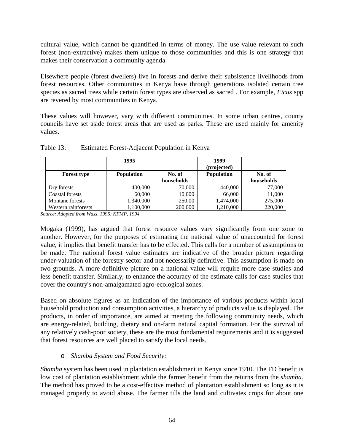cultural value, which cannot be quantified in terms of money. The use value relevant to such forest (non-extractive) makes them unique to those communities and this is one strategy that makes their conservation a community agenda.

Elsewhere people (forest dwellers) live in forests and derive their subsistence livelihoods from forest resources. Other communities in Kenya have through generations isolated certain tree species as sacred trees while certain forest types are observed as sacred . For example, *Ficus* spp are revered by most communities in Kenya.

These values will however, vary with different communities. In some urban centres, county councils have set aside forest areas that are used as parks. These are used mainly for amenity values.

|                     | 1995              |                      | 1999<br>(projected) |                      |
|---------------------|-------------------|----------------------|---------------------|----------------------|
| <b>Forest type</b>  | <b>Population</b> | No. of<br>households | <b>Population</b>   | No. of<br>households |
|                     |                   |                      |                     |                      |
| Dry forests         | 400,000           | 70,000               | 440,000             | 77,000               |
| Coastal forests     | 60,000            | 10,000               | 66,000              | 11,000               |
| Montane forests     | 1,340,000         | 250,00               | 1,474,000           | 275,000              |
| Western rainforests | 1,100,000         | 200,000              | 1,210,000           | 220,000              |

Table 13: Estimated Forest-Adjacent Population in Kenya

*Source: Adopted from Wass, 1995; KFMP, 1994*

Mogaka (1999), has argued that forest resource values vary significantly from one zone to another. However, for the purposes of estimating the national value of unaccounted for forest value, it implies that benefit transfer has to be effected. This calls for a number of assumptions to be made. The national forest value estimates are indicative of the broader picture regarding under-valuation of the forestry sector and not necessarily definitive. This assumption is made on two grounds. A more definitive picture on a national value will require more case studies and less benefit transfer. Similarly, to enhance the accuracy of the estimate calls for case studies that cover the country's non-amalgamated agro-ecological zones.

Based on absolute figures as an indication of the importance of various products within local household production and consumption activities, a hierarchy of products value is displayed. The products, in order of importance, are aimed at meeting the following community needs, which are energy-related, building, dietary and on-farm natural capital formation. For the survival of any relatively cash-poor society, these are the most fundamental requirements and it is suggested that forest resources are well placed to satisfy the local needs.

# o *Shamba System and Food Security:*

*Shamba* system has been used in plantation establishment in Kenya since 1910. The FD benefit is low cost of plantation establishment while the farmer benefit from the returns from the *shamba*. The method has proved to be a cost-effective method of plantation establishment so long as it is managed properly to avoid abuse. The farmer tills the land and cultivates crops for about one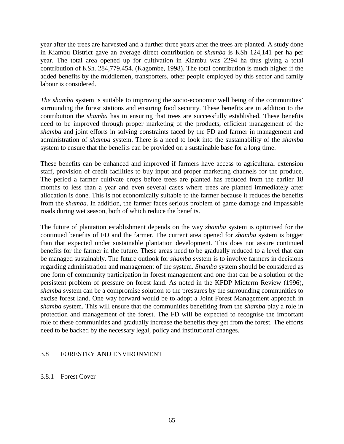year after the trees are harvested and a further three years after the trees are planted. A study done in Kiambu District gave an average direct contribution of *shamba* is KSh 124,141 per ha per year. The total area opened up for cultivation in Kiambu was 2294 ha thus giving a total contribution of KSh. 284,779,454. (Kagombe, 1998). The total contribution is much higher if the added benefits by the middlemen, transporters, other people employed by this sector and family labour is considered.

*The shamba* system is suitable to improving the socio-economic well being of the communities' surrounding the forest stations and ensuring food security. These benefits are in addition to the contribution the *shamba* has in ensuring that trees are successfully established. These benefits need to be improved through proper marketing of the products, efficient management of the *shamba* and joint efforts in solving constraints faced by the FD and farmer in management and administration of *shamba* system. There is a need to look into the sustainability of the *shamba* system to ensure that the benefits can be provided on a sustainable base for a long time.

These benefits can be enhanced and improved if farmers have access to agricultural extension staff, provision of credit facilities to buy input and proper marketing channels for the produce. The period a farmer cultivate crops before trees are planted has reduced from the earlier 18 months to less than a year and even several cases where trees are planted immediately after allocation is done. This is not economically suitable to the farmer because it reduces the benefits from the *shamba*. In addition, the farmer faces serious problem of game damage and impassable roads during wet season, both of which reduce the benefits.

The future of plantation establishment depends on the way *shamba* system is optimised for the continued benefits of FD and the farmer. The current area opened for *shamba* system is bigger than that expected under sustainable plantation development. This does not assure continued benefits for the farmer in the future. These areas need to be gradually reduced to a level that can be managed sustainably. The future outlook for *shamba* system is to involve farmers in decisions regarding administration and management of the system. *Shamba* system should be considered as one form of community participation in forest management and one that can be a solution of the persistent problem of pressure on forest land. As noted in the KFDP Midterm Review (1996), *shamba* system can be a compromise solution to the pressures by the surrounding communities to excise forest land. One way forward would be to adopt a Joint Forest Management approach in *shamba* system. This will ensure that the communities benefiting from the *shamba* play a role in protection and management of the forest. The FD will be expected to recognise the important role of these communities and gradually increase the benefits they get from the forest. The efforts need to be backed by the necessary legal, policy and institutional changes.

# 3.8 FORESTRY AND ENVIRONMENT

# 3.8.1 Forest Cover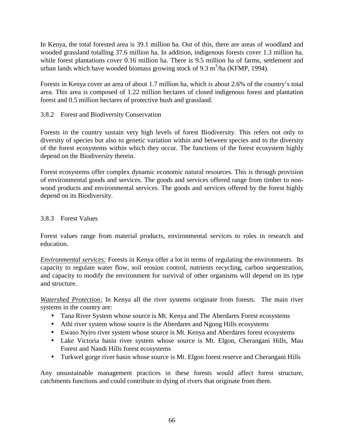In Kenya, the total forested area is 39.1 million ha. Out of this, there are areas of woodland and wooded grassland totalling 37.6 million ha. In addition, indigenous forests cover 1.3 million ha. while forest plantations cover 0.16 million ha. There is 9.5 million ha of farms, settlement and urban lands which have wooded biomass growing stock of 9.3 m<sup>3</sup>/ha (KFMP, 1994).

Forests in Kenya cover an area of about 1.7 million ha, which is about 2.6% of the country's total area. This area is composed of 1.22 million hectares of closed indigenous forest and plantation forest and 0.5 million hectares of protective bush and grassland.

# 3.8.2 Forest and Biodiversity Conservation

Forests in the country sustain very high levels of forest Biodiversity. This refers not only to diversity of species but also to genetic variation within and between species and to the diversity of the forest ecosystems within which they occur. The functions of the forest ecosystem highly depend on the Biodiversity therein.

Forest ecosystems offer complex dynamic economic natural resources. This is through provision of environmental goods and services. The goods and services offered range from timber to nonwood products and environmental services. The goods and services offered by the forest highly depend on its Biodiversity.

# 3.8.3 Forest Values

Forest values range from material products, environmental services to roles in research and education.

*Environmental services:* Forests in Kenya offer a lot in terms of regulating the environments. Its capacity to regulate water flow, soil erosion control, nutrients recycling, carbon sequestration, and capacity to modify the environment for survival of other organisms will depend on its type and structure.

*Watershed Protection:* In Kenya all the river systems originate from forests. The main river systems in the country are:

- Tana River System whose source is Mt. Kenya and The Aberdares Forest ecosystems
- Athi river system whose source is the Aberdares and Ngong Hills ecosystems
- Ewaso Nyiro river system whose source is Mt. Kenya and Aberdares forest ecosystems
- Lake Victoria basin river system whose source is Mt. Elgon, Cherangani Hills, Mau Forest and Nandi Hills forest ecosystems
- Turkwel gorge river basin whose source is Mt. Elgon forest reserve and Cherangani Hills

Any unsustainable management practices in these forests would affect forest structure, catchments functions and could contribute to dying of rivers that originate from them.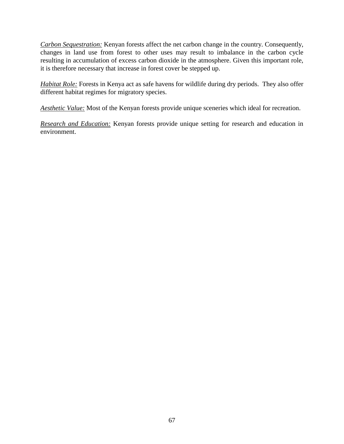*Carbon Sequestration:* Kenyan forests affect the net carbon change in the country. Consequently, changes in land use from forest to other uses may result to imbalance in the carbon cycle resulting in accumulation of excess carbon dioxide in the atmosphere. Given this important role, it is therefore necessary that increase in forest cover be stepped up.

*Habitat Role:* Forests in Kenya act as safe havens for wildlife during dry periods. They also offer different habitat regimes for migratory species.

*Aesthetic Value:* Most of the Kenyan forests provide unique sceneries which ideal for recreation.

*Research and Education:* Kenyan forests provide unique setting for research and education in environment.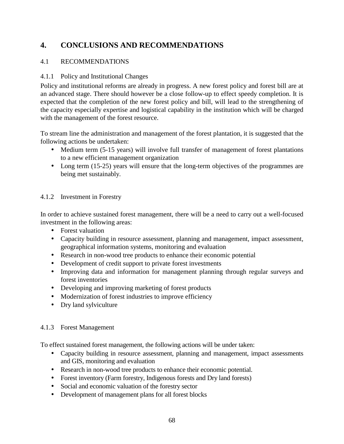# **4. CONCLUSIONS AND RECOMMENDATIONS**

# 4.1 RECOMMENDATIONS

# 4.1.1 Policy and Institutional Changes

Policy and institutional reforms are already in progress. A new forest policy and forest bill are at an advanced stage. There should however be a close follow-up to effect speedy completion. It is expected that the completion of the new forest policy and bill, will lead to the strengthening of the capacity especially expertise and logistical capability in the institution which will be charged with the management of the forest resource.

To stream line the administration and management of the forest plantation, it is suggested that the following actions be undertaken:

- Medium term (5-15 years) will involve full transfer of management of forest plantations to a new efficient management organization
- Long term (15-25) years will ensure that the long-term objectives of the programmes are being met sustainably.

# 4.1.2 Investment in Forestry

In order to achieve sustained forest management, there will be a need to carry out a well-focused investment in the following areas:

- Forest valuation
- Capacity building in resource assessment, planning and management, impact assessment, geographical information systems, monitoring and evaluation
- Research in non-wood tree products to enhance their economic potential
- Development of credit support to private forest investments
- Improving data and information for management planning through regular surveys and forest inventories
- Developing and improving marketing of forest products
- Modernization of forest industries to improve efficiency
- Dry land sylviculture

# 4.1.3 Forest Management

To effect sustained forest management, the following actions will be under taken:

- Capacity building in resource assessment, planning and management, impact assessments and GIS, monitoring and evaluation
- Research in non-wood tree products to enhance their economic potential.
- Forest inventory (Farm forestry, Indigenous forests and Dry land forests)
- Social and economic valuation of the forestry sector
- Development of management plans for all forest blocks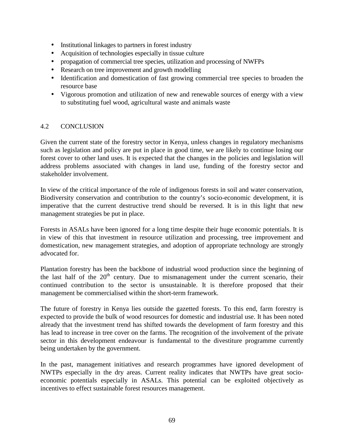- Institutional linkages to partners in forest industry
- Acquisition of technologies especially in tissue culture
- propagation of commercial tree species, utilization and processing of NWFPs
- Research on tree improvement and growth modelling
- Identification and domestication of fast growing commercial tree species to broaden the resource base
- Vigorous promotion and utilization of new and renewable sources of energy with a view to substituting fuel wood, agricultural waste and animals waste

#### 4.2 CONCLUSION

Given the current state of the forestry sector in Kenya, unless changes in regulatory mechanisms such as legislation and policy are put in place in good time, we are likely to continue losing our forest cover to other land uses. It is expected that the changes in the policies and legislation will address problems associated with changes in land use, funding of the forestry sector and stakeholder involvement.

In view of the critical importance of the role of indigenous forests in soil and water conservation, Biodiversity conservation and contribution to the country's socio-economic development, it is imperative that the current destructive trend should be reversed. It is in this light that new management strategies be put in place.

Forests in ASALs have been ignored for a long time despite their huge economic potentials. It is in view of this that investment in resource utilization and processing, tree improvement and domestication, new management strategies, and adoption of appropriate technology are strongly advocated for.

Plantation forestry has been the backbone of industrial wood production since the beginning of the last half of the  $20<sup>th</sup>$  century. Due to mismanagement under the current scenario, their continued contribution to the sector is unsustainable. It is therefore proposed that their management be commercialised within the short-term framework.

The future of forestry in Kenya lies outside the gazetted forests. To this end, farm forestry is expected to provide the bulk of wood resources for domestic and industrial use. It has been noted already that the investment trend has shifted towards the development of farm forestry and this has lead to increase in tree cover on the farms. The recognition of the involvement of the private sector in this development endeavour is fundamental to the divestiture programme currently being undertaken by the government.

In the past, management initiatives and research programmes have ignored development of NWTPs especially in the dry areas. Current reality indicates that NWTPs have great socioeconomic potentials especially in ASALs. This potential can be exploited objectively as incentives to effect sustainable forest resources management.